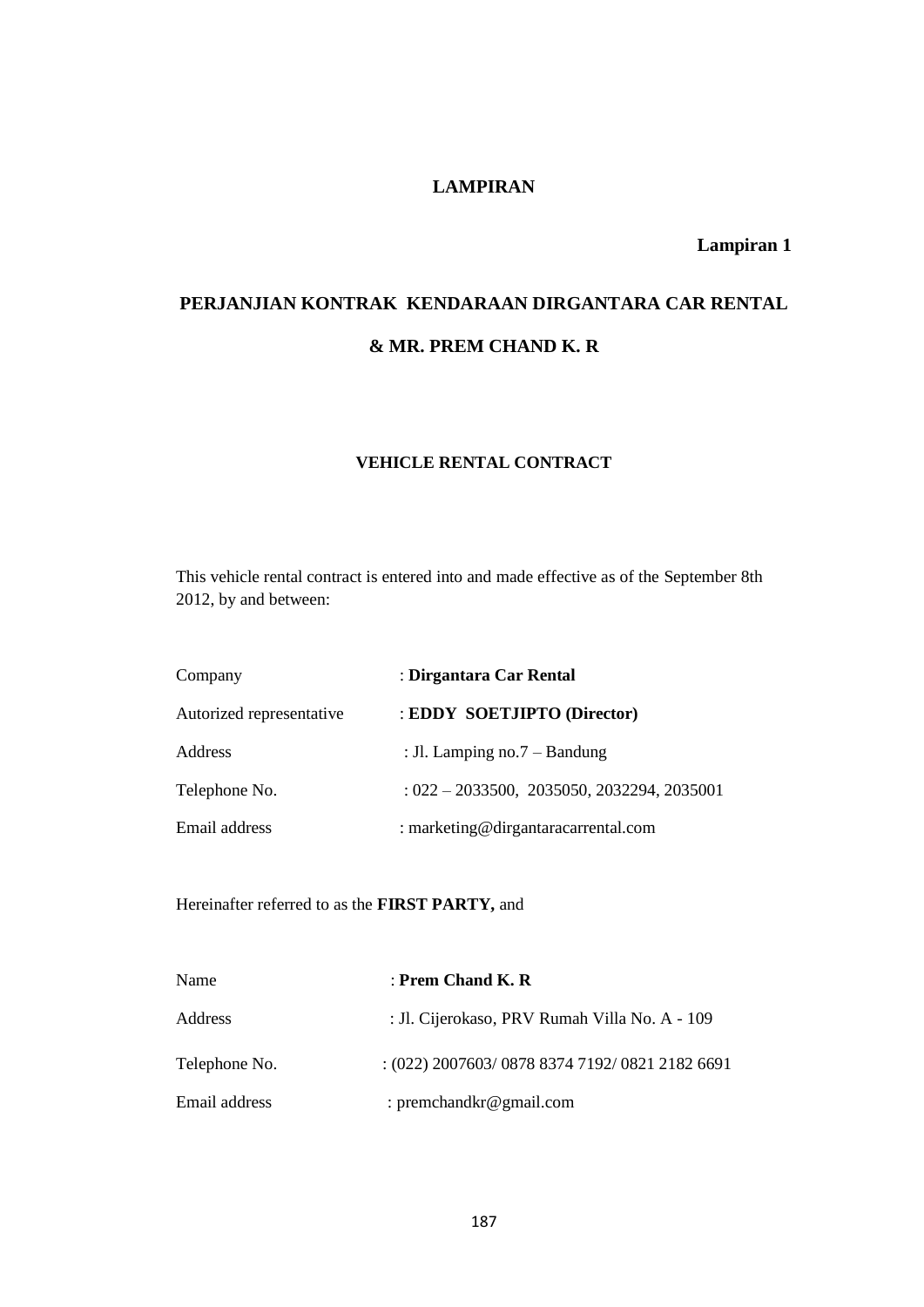# **LAMPIRAN**

**Lampiran 1**

# **PERJANJIAN KONTRAK KENDARAAN DIRGANTARA CAR RENTAL & MR. PREM CHAND K. R**

## **VEHICLE RENTAL CONTRACT**

This vehicle rental contract is entered into and made effective as of the September 8th 2012, by and between:

| Company                  | : Dirgantara Car Rental                      |
|--------------------------|----------------------------------------------|
| Autorized representative | : EDDY SOETJIPTO (Director)                  |
| Address                  | : Jl. Lamping no. $7 -$ Bandung              |
| Telephone No.            | $: 022 - 2033500, 2035050, 2032294, 2035001$ |
| Email address            | : marketing@dirgantaracarrental.com          |

Hereinafter referred to as the **FIRST PARTY,** and

| Name          | : Prem Chand K. R                              |
|---------------|------------------------------------------------|
| Address       | : Jl. Cijerokaso, PRV Rumah Villa No. A - 109  |
| Telephone No. | $:(022)$ 2007603/0878 8374 7192/0821 2182 6691 |
| Email address | : premchandkr@gmail.com                        |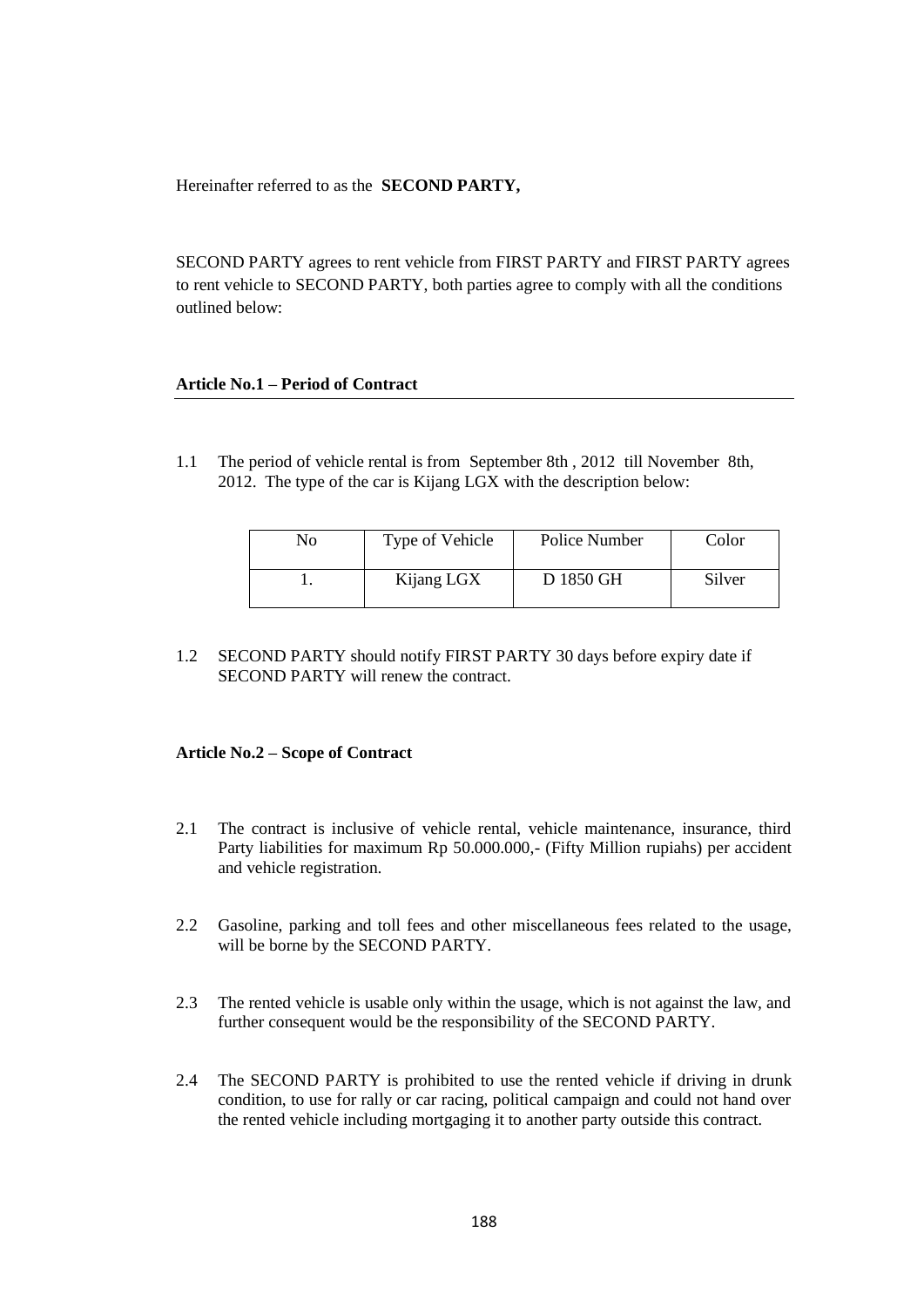Hereinafter referred to as the **SECOND PARTY,**

SECOND PARTY agrees to rent vehicle from FIRST PARTY and FIRST PARTY agrees to rent vehicle to SECOND PARTY, both parties agree to comply with all the conditions outlined below:

#### **Article No.1 – Period of Contract**

1.1 The period of vehicle rental is from September 8th , 2012 till November 8th, 2012. The type of the car is Kijang LGX with the description below:

| No | Type of Vehicle | Police Number | Color  |
|----|-----------------|---------------|--------|
|    | Kijang LGX      | D 1850 GH     | Silver |

1.2 SECOND PARTY should notify FIRST PARTY 30 days before expiry date if SECOND PARTY will renew the contract.

#### **Article No.2 – Scope of Contract**

- 2.1 The contract is inclusive of vehicle rental, vehicle maintenance, insurance, third Party liabilities for maximum Rp 50.000.000,- (Fifty Million rupiahs) per accident and vehicle registration.
- 2.2 Gasoline, parking and toll fees and other miscellaneous fees related to the usage, will be borne by the SECOND PARTY.
- 2.3 The rented vehicle is usable only within the usage, which is not against the law, and further consequent would be the responsibility of the SECOND PARTY.
- 2.4 The SECOND PARTY is prohibited to use the rented vehicle if driving in drunk condition, to use for rally or car racing, political campaign and could not hand over the rented vehicle including mortgaging it to another party outside this contract.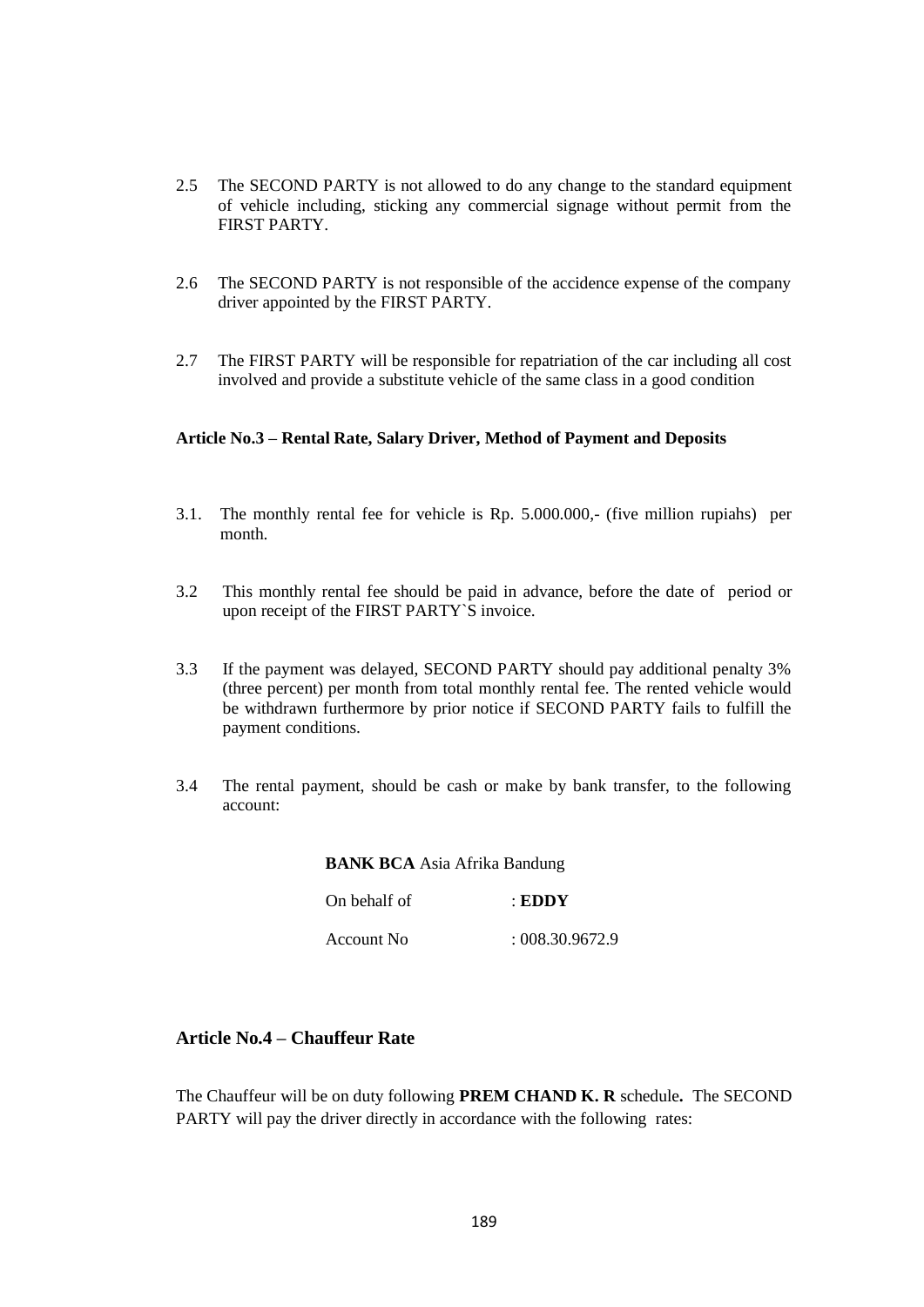- 2.5 The SECOND PARTY is not allowed to do any change to the standard equipment of vehicle including, sticking any commercial signage without permit from the FIRST PARTY.
- 2.6 The SECOND PARTY is not responsible of the accidence expense of the company driver appointed by the FIRST PARTY.
- 2.7 The FIRST PARTY will be responsible for repatriation of the car including all cost involved and provide a substitute vehicle of the same class in a good condition

#### **Article No.3 – Rental Rate, Salary Driver, Method of Payment and Deposits**

- 3.1. The monthly rental fee for vehicle is Rp. 5.000.000,- (five million rupiahs) per month.
- 3.2 This monthly rental fee should be paid in advance, before the date of period or upon receipt of the FIRST PARTY`S invoice.
- 3.3 If the payment was delayed, SECOND PARTY should pay additional penalty 3% (three percent) per month from total monthly rental fee. The rented vehicle would be withdrawn furthermore by prior notice if SECOND PARTY fails to fulfill the payment conditions.
- 3.4 The rental payment, should be cash or make by bank transfer, to the following account:

 On behalf of : **EDDY** Account No : 008.30.9672.9

# **Article No.4 – Chauffeur Rate**

The Chauffeur will be on duty following **PREM CHAND K. R** schedule**.** The SECOND PARTY will pay the driver directly in accordance with the following rates: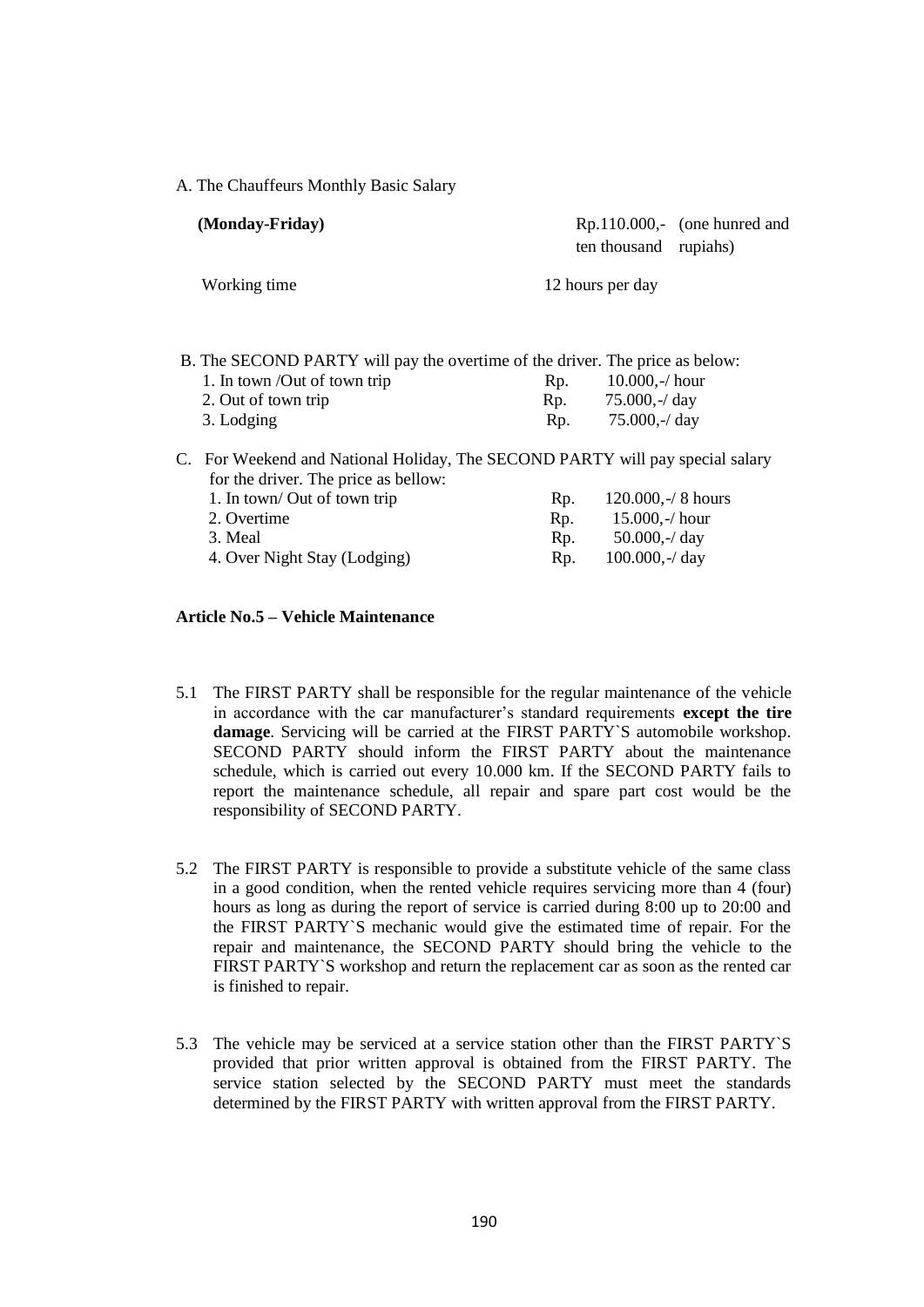A. The Chauffeurs Monthly Basic Salary

| (Monday-Friday)                      | $Rp.110.000,-$ (one hunred and<br>ten thousand rupiahs)                                                 |
|--------------------------------------|---------------------------------------------------------------------------------------------------------|
| Working time                         | 12 hours per day                                                                                        |
| 1. In town /Out of town trip         | B. The SECOND PARTY will pay the overtime of the driver. The price as below:<br>$10.000,-/$ hour<br>Rp. |
| 2. Out of town trip                  | $75.000,-d$ ay<br>Rp.                                                                                   |
| 3. Lodging                           | 75.000,- $/$ day<br>Rp.                                                                                 |
| for the driver. The price as bellow: | C. For Weekend and National Holiday, The SECOND PARTY will pay special salary                           |
| 1. In town/ Out of town trip         | $120.000,-/ 8$ hours<br>Rp.                                                                             |
| 2. Overtime                          | $15.000,-/$ hour<br>Rp.                                                                                 |
| 3. Meal                              | $50.000,-/day$<br>Rp.                                                                                   |
| 4. Over Night Stay (Lodging)         | $100.000, -4$ day<br>Rp.                                                                                |

#### **Article No.5 – Vehicle Maintenance**

- 5.1 The FIRST PARTY shall be responsible for the regular maintenance of the vehicle in accordance with the car manufacturer's standard requirements **except the tire damage**. Servicing will be carried at the FIRST PARTY`S automobile workshop. SECOND PARTY should inform the FIRST PARTY about the maintenance schedule, which is carried out every 10.000 km. If the SECOND PARTY fails to report the maintenance schedule, all repair and spare part cost would be the responsibility of SECOND PARTY.
- 5.2 The FIRST PARTY is responsible to provide a substitute vehicle of the same class in a good condition, when the rented vehicle requires servicing more than 4 (four) hours as long as during the report of service is carried during 8:00 up to 20:00 and the FIRST PARTY`S mechanic would give the estimated time of repair. For the repair and maintenance, the SECOND PARTY should bring the vehicle to the FIRST PARTY`S workshop and return the replacement car as soon as the rented car is finished to repair.
- 5.3 The vehicle may be serviced at a service station other than the FIRST PARTY`S provided that prior written approval is obtained from the FIRST PARTY. The service station selected by the SECOND PARTY must meet the standards determined by the FIRST PARTY with written approval from the FIRST PARTY.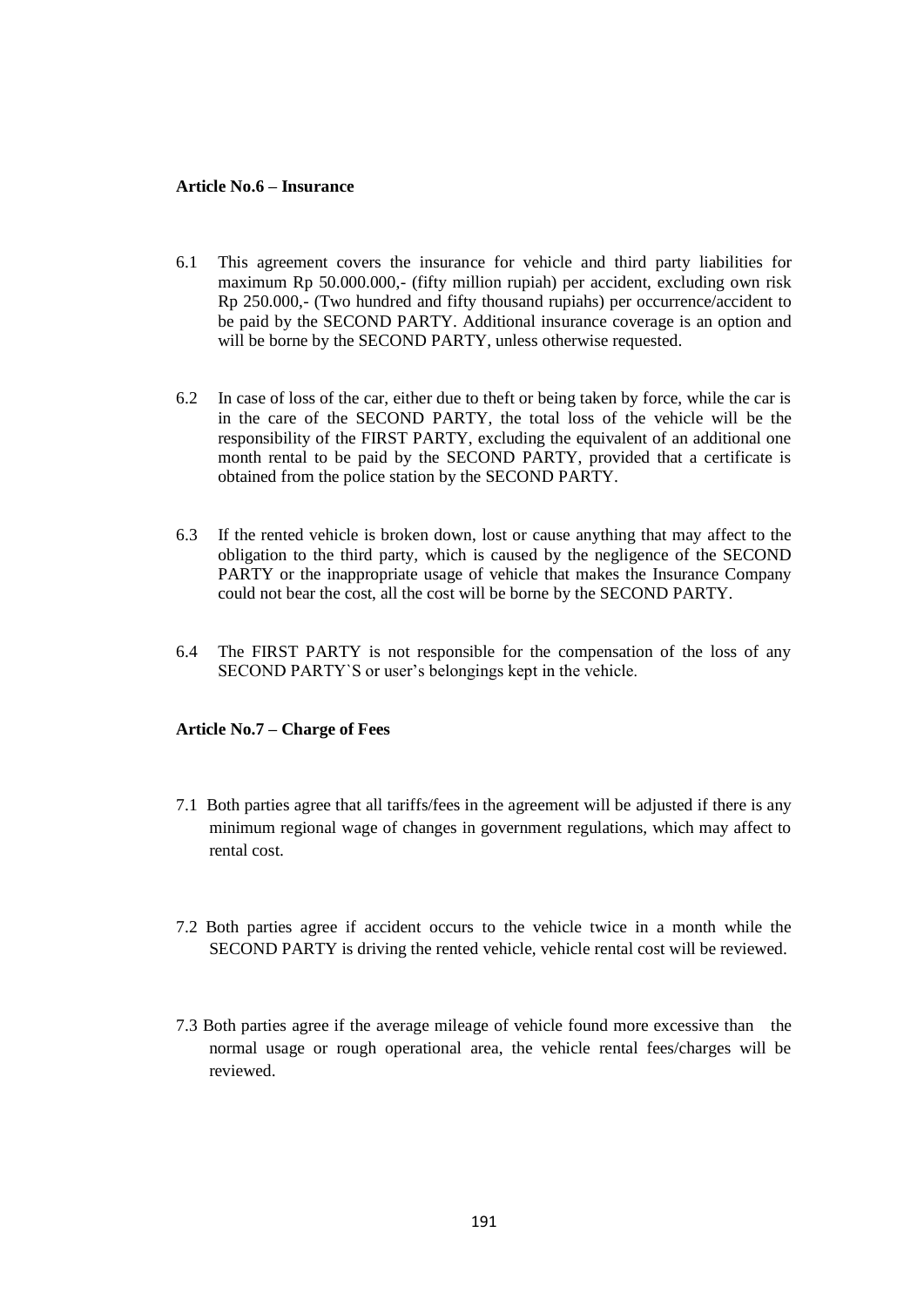#### **Article No.6 – Insurance**

- 6.1 This agreement covers the insurance for vehicle and third party liabilities for maximum Rp 50.000.000,- (fifty million rupiah) per accident, excluding own risk Rp 250.000,- (Two hundred and fifty thousand rupiahs) per occurrence/accident to be paid by the SECOND PARTY. Additional insurance coverage is an option and will be borne by the SECOND PARTY, unless otherwise requested.
- 6.2 In case of loss of the car, either due to theft or being taken by force, while the car is in the care of the SECOND PARTY, the total loss of the vehicle will be the responsibility of the FIRST PARTY, excluding the equivalent of an additional one month rental to be paid by the SECOND PARTY, provided that a certificate is obtained from the police station by the SECOND PARTY.
- 6.3 If the rented vehicle is broken down, lost or cause anything that may affect to the obligation to the third party, which is caused by the negligence of the SECOND PARTY or the inappropriate usage of vehicle that makes the Insurance Company could not bear the cost, all the cost will be borne by the SECOND PARTY.
- 6.4 The FIRST PARTY is not responsible for the compensation of the loss of any SECOND PARTY`S or user's belongings kept in the vehicle.

#### **Article No.7 – Charge of Fees**

- 7.1 Both parties agree that all tariffs/fees in the agreement will be adjusted if there is any minimum regional wage of changes in government regulations, which may affect to rental cost.
- 7.2 Both parties agree if accident occurs to the vehicle twice in a month while the SECOND PARTY is driving the rented vehicle, vehicle rental cost will be reviewed.
- 7.3 Both parties agree if the average mileage of vehicle found more excessive than the normal usage or rough operational area, the vehicle rental fees/charges will be reviewed.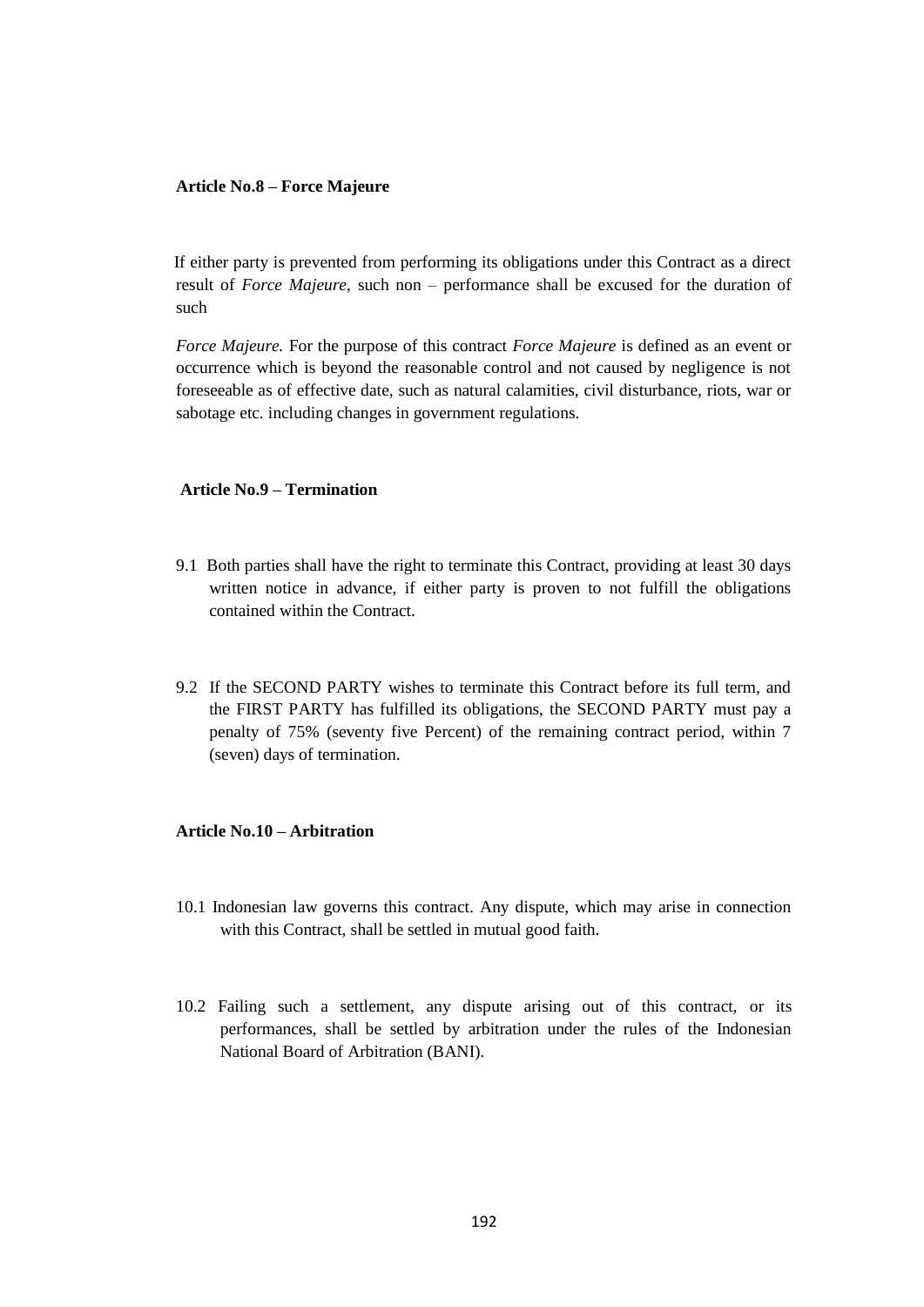#### **Article No.8 – Force Majeure**

 If either party is prevented from performing its obligations under this Contract as a direct result of *Force Majeure*, such non – performance shall be excused for the duration of such

*Force Majeure.* For the purpose of this contract *Force Majeure* is defined as an event or occurrence which is beyond the reasonable control and not caused by negligence is not foreseeable as of effective date, such as natural calamities, civil disturbance, riots, war or sabotage etc. including changes in government regulations.

#### **Article No.9 – Termination**

- 9.1 Both parties shall have the right to terminate this Contract, providing at least 30 days written notice in advance, if either party is proven to not fulfill the obligations contained within the Contract.
- 9.2 If the SECOND PARTY wishes to terminate this Contract before its full term, and the FIRST PARTY has fulfilled its obligations, the SECOND PARTY must pay a penalty of 75% (seventy five Percent) of the remaining contract period, within 7 (seven) days of termination.

## **Article No.10 – Arbitration**

- 10.1 Indonesian law governs this contract. Any dispute, which may arise in connection with this Contract, shall be settled in mutual good faith.
- 10.2 Failing such a settlement, any dispute arising out of this contract, or its performances, shall be settled by arbitration under the rules of the Indonesian National Board of Arbitration (BANI).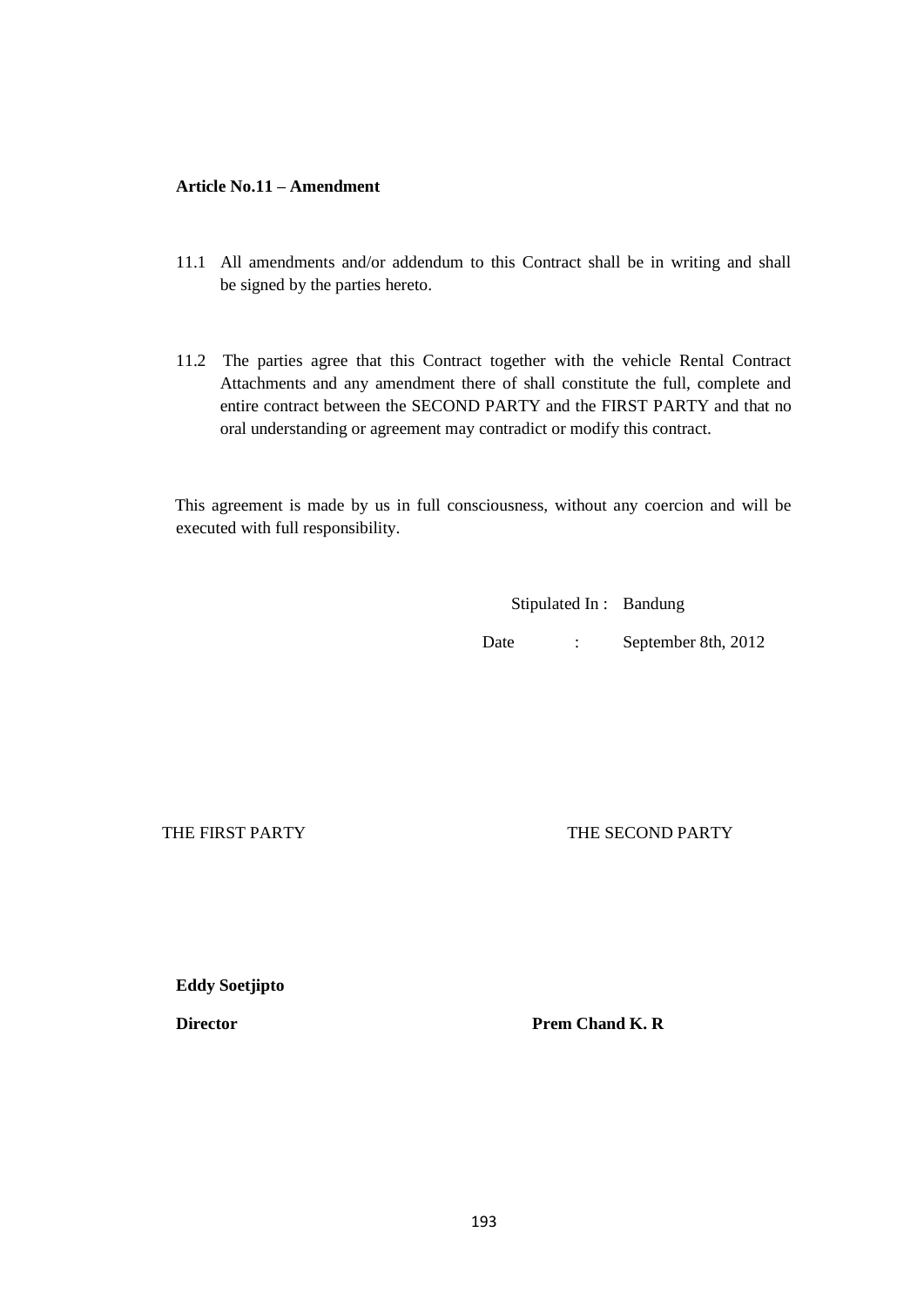## **Article No.11 – Amendment**

- 11.1 All amendments and/or addendum to this Contract shall be in writing and shall be signed by the parties hereto.
- 11.2 The parties agree that this Contract together with the vehicle Rental Contract Attachments and any amendment there of shall constitute the full, complete and entire contract between the SECOND PARTY and the FIRST PARTY and that no oral understanding or agreement may contradict or modify this contract.

 This agreement is made by us in full consciousness, without any coercion and will be executed with full responsibility.

Stipulated In : Bandung

Date : September 8th, 2012

THE FIRST PARTY **THE SECOND PARTY** 

**Eddy Soetjipto**

**Director** Prem Chand K. R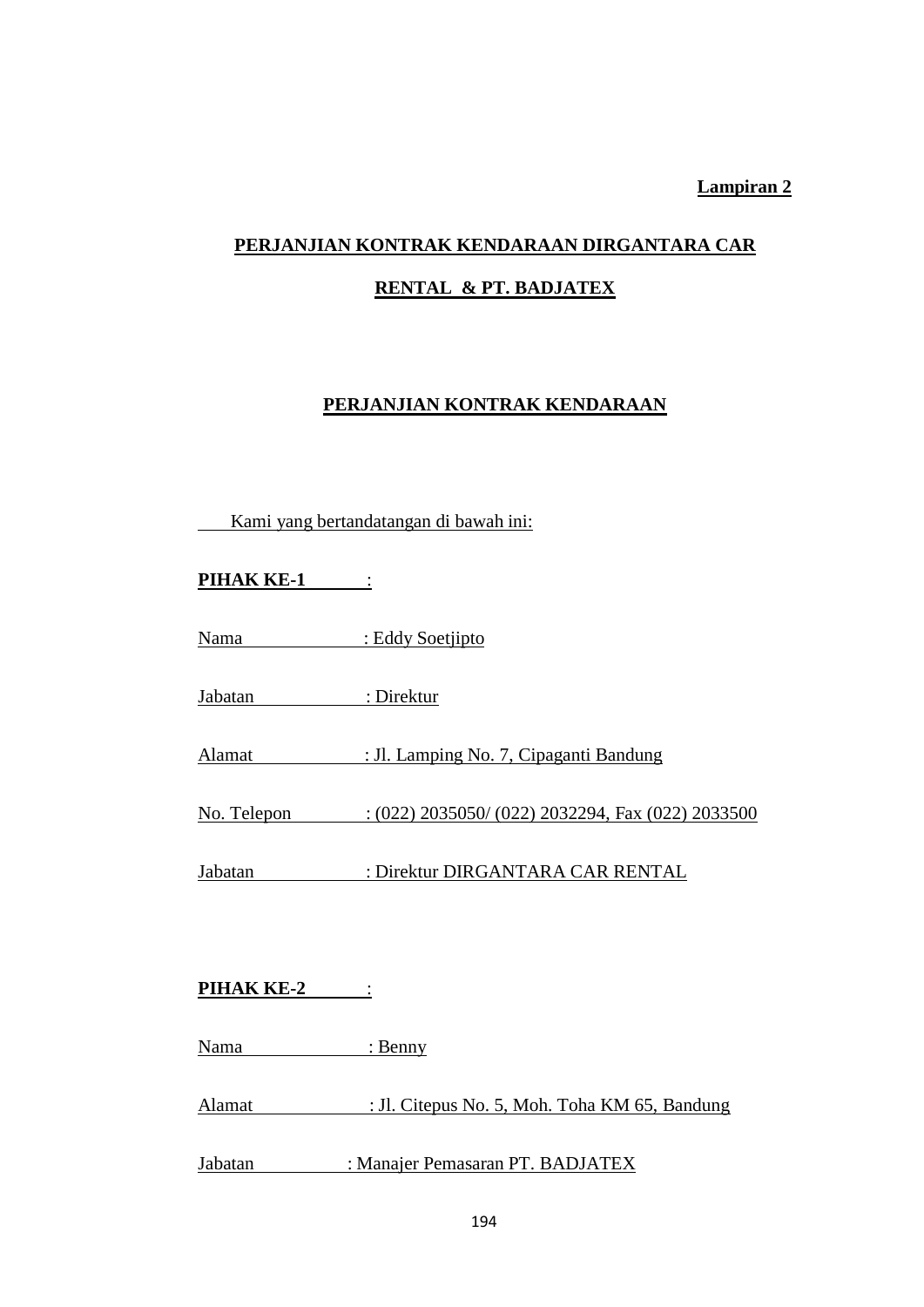# **Lampiran 2**

# **PERJANJIAN KONTRAK KENDARAAN DIRGANTARA CAR**

# **RENTAL & PT. BADJATEX**

# **PERJANJIAN KONTRAK KENDARAAN**

| Kami yang bertandatangan di bawah ini: |                                                               |  |
|----------------------------------------|---------------------------------------------------------------|--|
| <b>PIHAK KE-1:</b>                     |                                                               |  |
|                                        | Nama : Eddy Soetjipto                                         |  |
| Jabatan                                | : Direktur                                                    |  |
|                                        | Alamat : Jl. Lamping No. 7, Cipaganti Bandung                 |  |
|                                        | No. Telepon : (022) 2035050/ (022) 2032294, Fax (022) 2033500 |  |
|                                        | Jabatan : Direktur DIRGANTARA CAR RENTAL                      |  |
| <b>PIHAK KE-2</b>                      |                                                               |  |
| Nama : Benny                           |                                                               |  |
| Alamat                                 | : Jl. Citepus No. 5, Moh. Toha KM 65, Bandung                 |  |
| Jabatan                                | : Manajer Pemasaran PT. BADJATEX                              |  |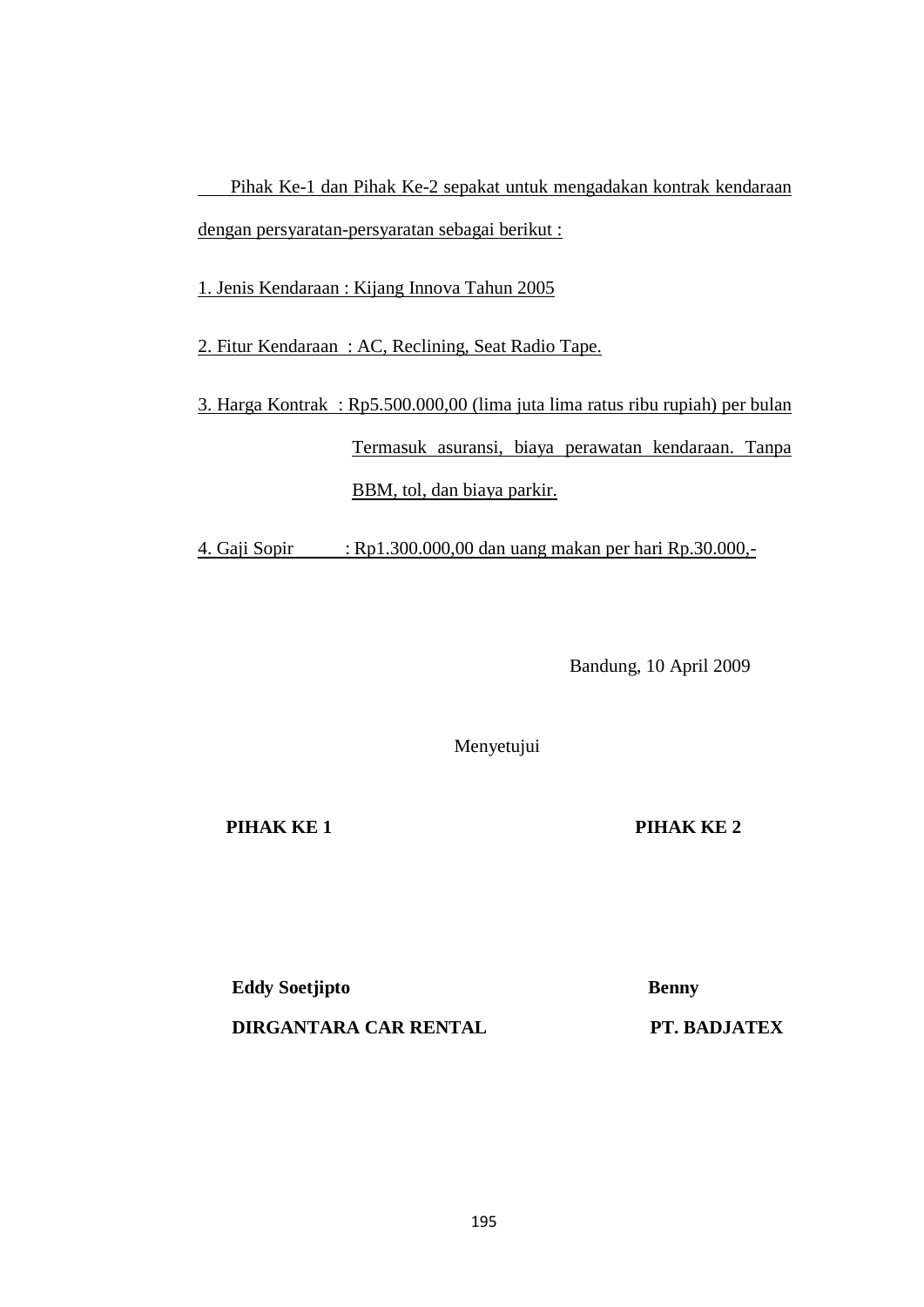Pihak Ke-1 dan Pihak Ke-2 sepakat untuk mengadakan kontrak kendaraan dengan persyaratan-persyaratan sebagai berikut :

1. Jenis Kendaraan : Kijang Innova Tahun 2005

2. Fitur Kendaraan : AC, Reclining, Seat Radio Tape.

3. Harga Kontrak : Rp5.500.000,00 (lima juta lima ratus ribu rupiah) per bulan Termasuk asuransi, biaya perawatan kendaraan. Tanpa BBM, tol, dan biaya parkir.

4. Gaji Sopir : Rp1.300.000,00 dan uang makan per hari Rp.30.000,-

Bandung, 10 April 2009

Menyetujui

**PIHAK KE 1 PIHAK KE 2**

**Eddy Soetjipto** Benny  **DIRGANTARA CAR RENTAL PT. BADJATEX**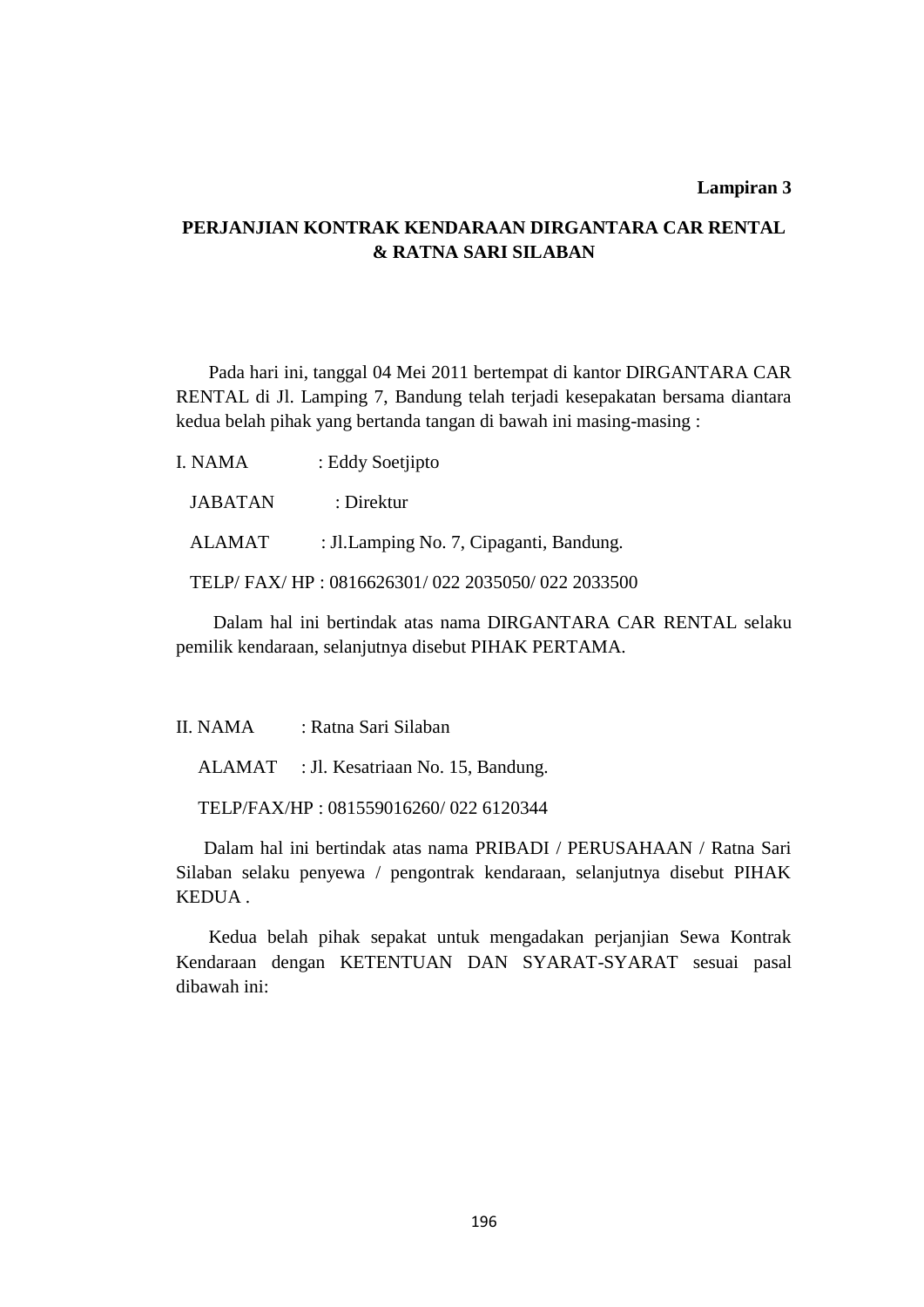#### **Lampiran 3**

# **PERJANJIAN KONTRAK KENDARAAN DIRGANTARA CAR RENTAL & RATNA SARI SILABAN**

 Pada hari ini, tanggal 04 Mei 2011 bertempat di kantor DIRGANTARA CAR RENTAL di Jl. Lamping 7, Bandung telah terjadi kesepakatan bersama diantara kedua belah pihak yang bertanda tangan di bawah ini masing-masing :

| I. NAMA        | : Eddy Soetjipto                                |
|----------------|-------------------------------------------------|
| <b>JABATAN</b> | : Direktur                                      |
| ALAMAT         | : Jl. Lamping No. 7, Cipaganti, Bandung.        |
|                | TELP/FAX/HP: 0816626301/022 2035050/022 2033500 |
|                |                                                 |

 Dalam hal ini bertindak atas nama DIRGANTARA CAR RENTAL selaku pemilik kendaraan, selanjutnya disebut PIHAK PERTAMA.

II. NAMA : Ratna Sari Silaban

ALAMAT : Jl. Kesatriaan No. 15, Bandung.

TELP/FAX/HP : 081559016260/ 022 6120344

 Dalam hal ini bertindak atas nama PRIBADI / PERUSAHAAN / Ratna Sari Silaban selaku penyewa / pengontrak kendaraan, selanjutnya disebut PIHAK KEDUA .

 Kedua belah pihak sepakat untuk mengadakan perjanjian Sewa Kontrak Kendaraan dengan KETENTUAN DAN SYARAT-SYARAT sesuai pasal dibawah ini: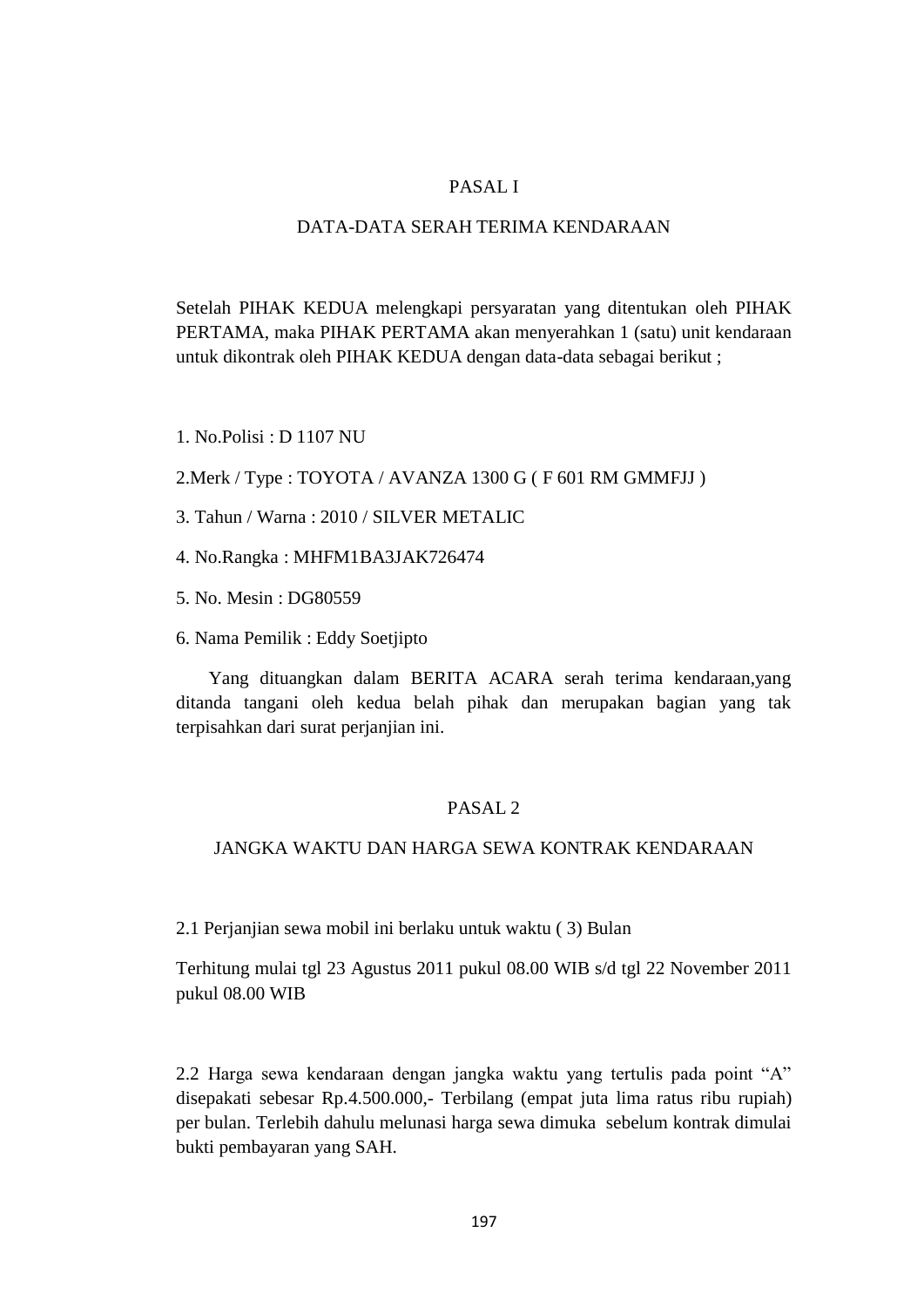# PASAL I

# DATA-DATA SERAH TERIMA KENDARAAN

Setelah PIHAK KEDUA melengkapi persyaratan yang ditentukan oleh PIHAK PERTAMA, maka PIHAK PERTAMA akan menyerahkan 1 (satu) unit kendaraan untuk dikontrak oleh PIHAK KEDUA dengan data-data sebagai berikut ;

1. No.Polisi : D 1107 NU

2.Merk / Type : TOYOTA / AVANZA 1300 G ( F 601 RM GMMFJJ )

- 3. Tahun / Warna : 2010 / SILVER METALIC
- 4. No.Rangka : MHFM1BA3JAK726474
- 5. No. Mesin : DG80559
- 6. Nama Pemilik : Eddy Soetjipto

 Yang dituangkan dalam BERITA ACARA serah terima kendaraan,yang ditanda tangani oleh kedua belah pihak dan merupakan bagian yang tak terpisahkan dari surat perjanjian ini.

# PASAL 2

# JANGKA WAKTU DAN HARGA SEWA KONTRAK KENDARAAN

2.1 Perjanjian sewa mobil ini berlaku untuk waktu ( 3) Bulan

Terhitung mulai tgl 23 Agustus 2011 pukul 08.00 WIB s/d tgl 22 November 2011 pukul 08.00 WIB

2.2 Harga sewa kendaraan dengan jangka waktu yang tertulis pada point "A" disepakati sebesar Rp.4.500.000,- Terbilang (empat juta lima ratus ribu rupiah) per bulan. Terlebih dahulu melunasi harga sewa dimuka sebelum kontrak dimulai bukti pembayaran yang SAH.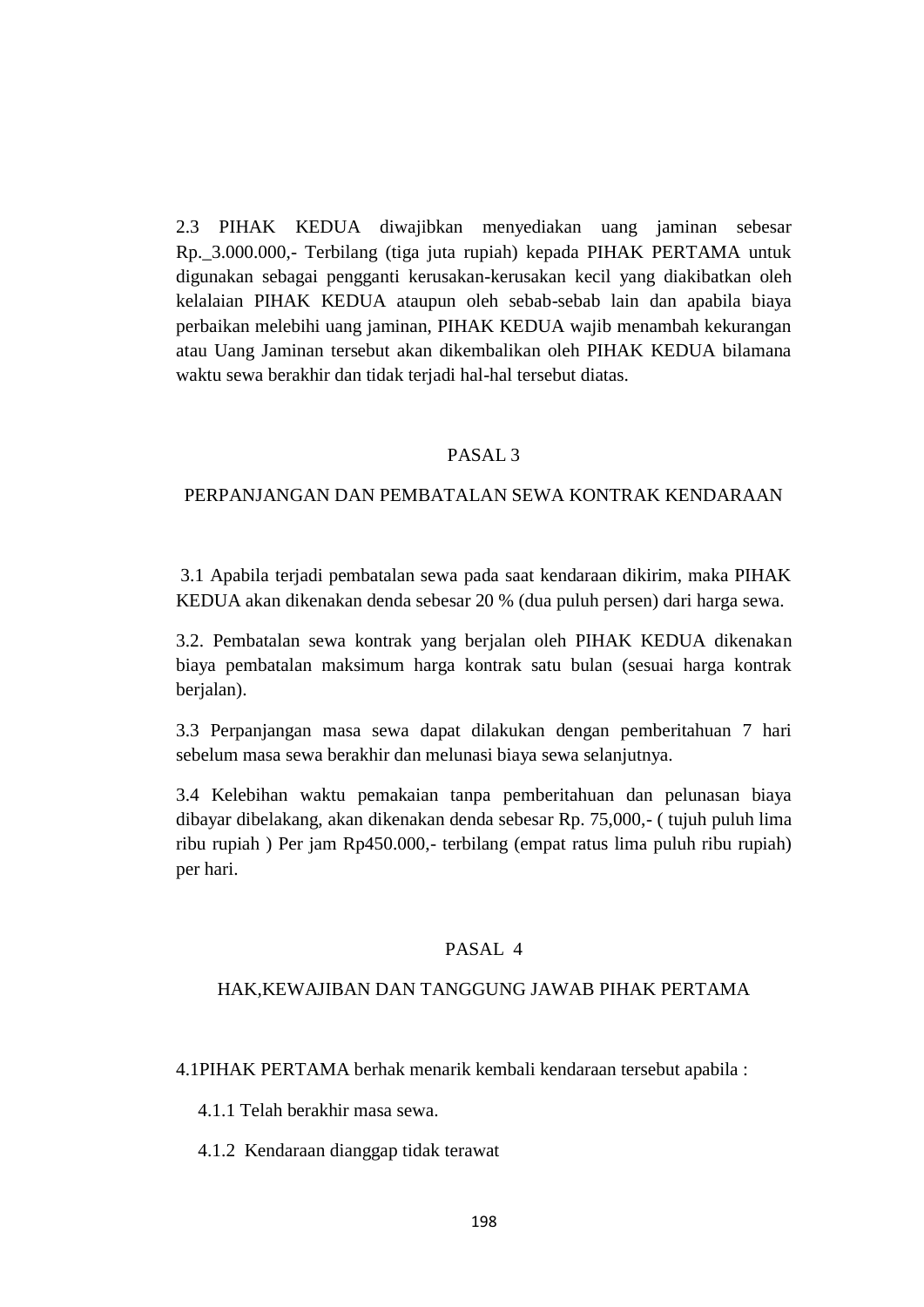2.3 PIHAK KEDUA diwajibkan menyediakan uang jaminan sebesar Rp.\_3.000.000,- Terbilang (tiga juta rupiah) kepada PIHAK PERTAMA untuk digunakan sebagai pengganti kerusakan-kerusakan kecil yang diakibatkan oleh kelalaian PIHAK KEDUA ataupun oleh sebab-sebab lain dan apabila biaya perbaikan melebihi uang jaminan, PIHAK KEDUA wajib menambah kekurangan atau Uang Jaminan tersebut akan dikembalikan oleh PIHAK KEDUA bilamana waktu sewa berakhir dan tidak terjadi hal-hal tersebut diatas.

#### PASAL 3

#### PERPANJANGAN DAN PEMBATALAN SEWA KONTRAK KENDARAAN

3.1 Apabila terjadi pembatalan sewa pada saat kendaraan dikirim, maka PIHAK KEDUA akan dikenakan denda sebesar 20 % (dua puluh persen) dari harga sewa.

3.2. Pembatalan sewa kontrak yang berjalan oleh PIHAK KEDUA dikenakan biaya pembatalan maksimum harga kontrak satu bulan (sesuai harga kontrak berjalan).

3.3 Perpanjangan masa sewa dapat dilakukan dengan pemberitahuan 7 hari sebelum masa sewa berakhir dan melunasi biaya sewa selanjutnya.

3.4 Kelebihan waktu pemakaian tanpa pemberitahuan dan pelunasan biaya dibayar dibelakang, akan dikenakan denda sebesar Rp. 75,000,- ( tujuh puluh lima ribu rupiah ) Per jam Rp450.000,- terbilang (empat ratus lima puluh ribu rupiah) per hari.

#### PASAL 4

#### HAK,KEWAJIBAN DAN TANGGUNG JAWAB PIHAK PERTAMA

4.1PIHAK PERTAMA berhak menarik kembali kendaraan tersebut apabila :

4.1.1 Telah berakhir masa sewa.

4.1.2 Kendaraan dianggap tidak terawat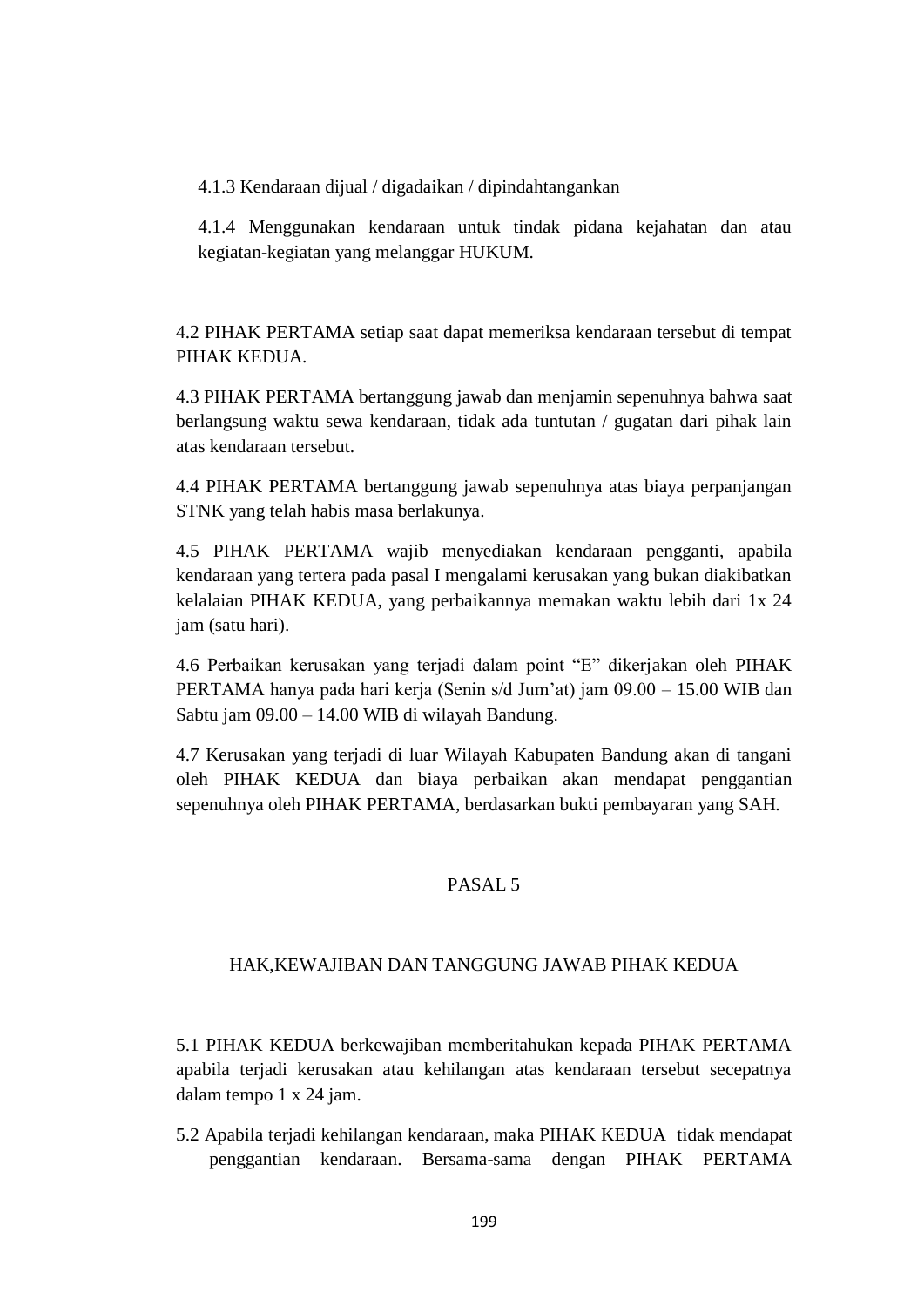4.1.3 Kendaraan dijual / digadaikan / dipindahtangankan

4.1.4 Menggunakan kendaraan untuk tindak pidana kejahatan dan atau kegiatan-kegiatan yang melanggar HUKUM.

4.2 PIHAK PERTAMA setiap saat dapat memeriksa kendaraan tersebut di tempat PIHAK KEDUA.

4.3 PIHAK PERTAMA bertanggung jawab dan menjamin sepenuhnya bahwa saat berlangsung waktu sewa kendaraan, tidak ada tuntutan / gugatan dari pihak lain atas kendaraan tersebut.

4.4 PIHAK PERTAMA bertanggung jawab sepenuhnya atas biaya perpanjangan STNK yang telah habis masa berlakunya.

4.5 PIHAK PERTAMA wajib menyediakan kendaraan pengganti, apabila kendaraan yang tertera pada pasal I mengalami kerusakan yang bukan diakibatkan kelalaian PIHAK KEDUA, yang perbaikannya memakan waktu lebih dari 1x 24 jam (satu hari).

4.6 Perbaikan kerusakan yang terjadi dalam point "E" dikerjakan oleh PIHAK PERTAMA hanya pada hari kerja (Senin s/d Jum'at) jam 09.00 – 15.00 WIB dan Sabtu jam 09.00 – 14.00 WIB di wilayah Bandung.

4.7 Kerusakan yang terjadi di luar Wilayah Kabupaten Bandung akan di tangani oleh PIHAK KEDUA dan biaya perbaikan akan mendapat penggantian sepenuhnya oleh PIHAK PERTAMA, berdasarkan bukti pembayaran yang SAH.

# PASAL 5

#### HAK,KEWAJIBAN DAN TANGGUNG JAWAB PIHAK KEDUA

5.1 PIHAK KEDUA berkewajiban memberitahukan kepada PIHAK PERTAMA apabila terjadi kerusakan atau kehilangan atas kendaraan tersebut secepatnya dalam tempo 1 x 24 jam.

5.2 Apabila terjadi kehilangan kendaraan, maka PIHAK KEDUA tidak mendapat penggantian kendaraan. Bersama-sama dengan PIHAK PERTAMA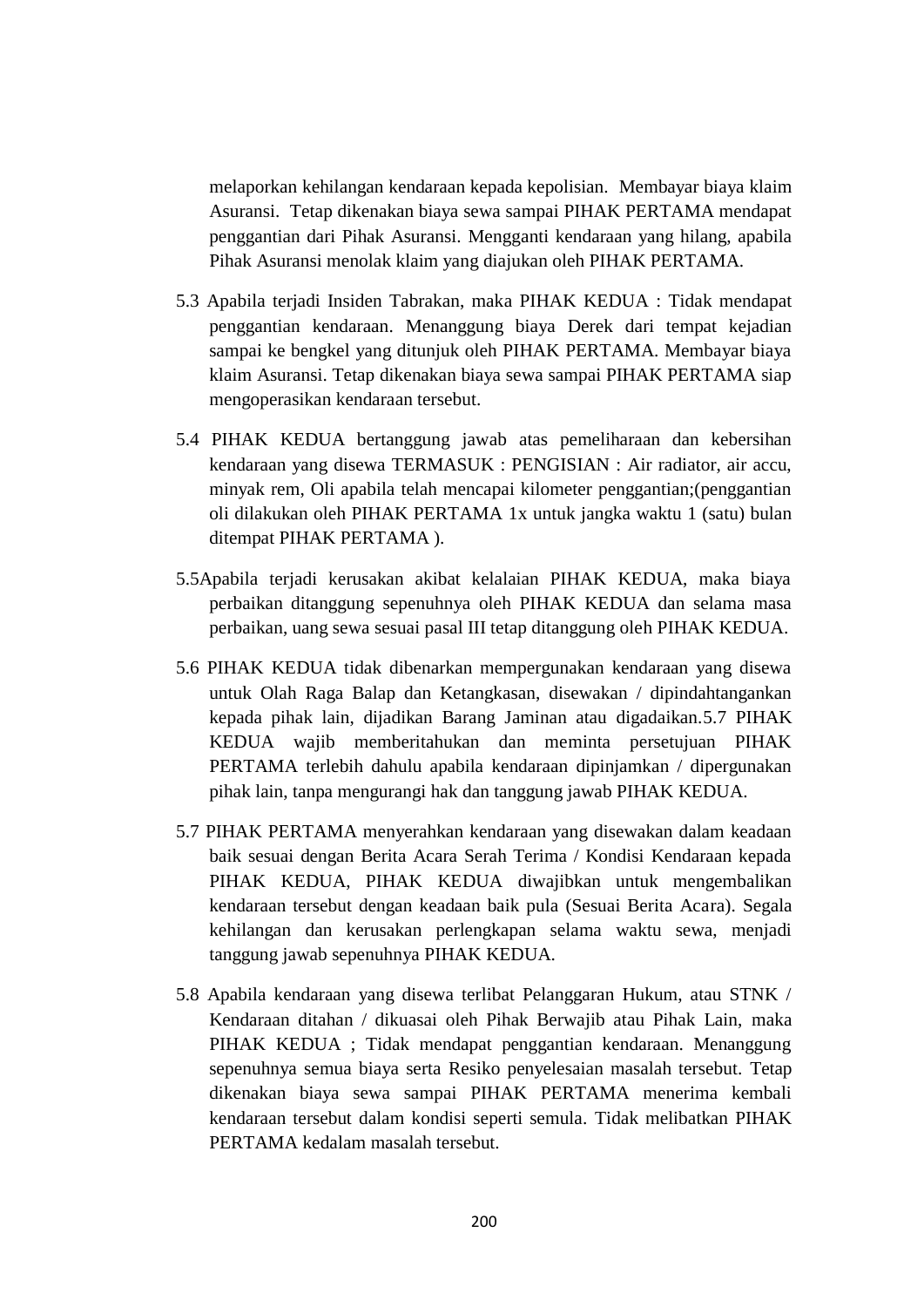melaporkan kehilangan kendaraan kepada kepolisian. Membayar biaya klaim Asuransi. Tetap dikenakan biaya sewa sampai PIHAK PERTAMA mendapat penggantian dari Pihak Asuransi. Mengganti kendaraan yang hilang, apabila Pihak Asuransi menolak klaim yang diajukan oleh PIHAK PERTAMA.

- 5.3 Apabila terjadi Insiden Tabrakan, maka PIHAK KEDUA : Tidak mendapat penggantian kendaraan. Menanggung biaya Derek dari tempat kejadian sampai ke bengkel yang ditunjuk oleh PIHAK PERTAMA. Membayar biaya klaim Asuransi. Tetap dikenakan biaya sewa sampai PIHAK PERTAMA siap mengoperasikan kendaraan tersebut.
- 5.4 PIHAK KEDUA bertanggung jawab atas pemeliharaan dan kebersihan kendaraan yang disewa TERMASUK : PENGISIAN : Air radiator, air accu, minyak rem, Oli apabila telah mencapai kilometer penggantian;(penggantian oli dilakukan oleh PIHAK PERTAMA 1x untuk jangka waktu 1 (satu) bulan ditempat PIHAK PERTAMA ).
- 5.5Apabila terjadi kerusakan akibat kelalaian PIHAK KEDUA, maka biaya perbaikan ditanggung sepenuhnya oleh PIHAK KEDUA dan selama masa perbaikan, uang sewa sesuai pasal III tetap ditanggung oleh PIHAK KEDUA.
- 5.6 PIHAK KEDUA tidak dibenarkan mempergunakan kendaraan yang disewa untuk Olah Raga Balap dan Ketangkasan, disewakan / dipindahtangankan kepada pihak lain, dijadikan Barang Jaminan atau digadaikan.5.7 PIHAK KEDUA wajib memberitahukan dan meminta persetujuan PIHAK PERTAMA terlebih dahulu apabila kendaraan dipinjamkan / dipergunakan pihak lain, tanpa mengurangi hak dan tanggung jawab PIHAK KEDUA.
- 5.7 PIHAK PERTAMA menyerahkan kendaraan yang disewakan dalam keadaan baik sesuai dengan Berita Acara Serah Terima / Kondisi Kendaraan kepada PIHAK KEDUA, PIHAK KEDUA diwajibkan untuk mengembalikan kendaraan tersebut dengan keadaan baik pula (Sesuai Berita Acara). Segala kehilangan dan kerusakan perlengkapan selama waktu sewa, menjadi tanggung jawab sepenuhnya PIHAK KEDUA.
- 5.8 Apabila kendaraan yang disewa terlibat Pelanggaran Hukum, atau STNK / Kendaraan ditahan / dikuasai oleh Pihak Berwajib atau Pihak Lain, maka PIHAK KEDUA ; Tidak mendapat penggantian kendaraan. Menanggung sepenuhnya semua biaya serta Resiko penyelesaian masalah tersebut. Tetap dikenakan biaya sewa sampai PIHAK PERTAMA menerima kembali kendaraan tersebut dalam kondisi seperti semula. Tidak melibatkan PIHAK PERTAMA kedalam masalah tersebut.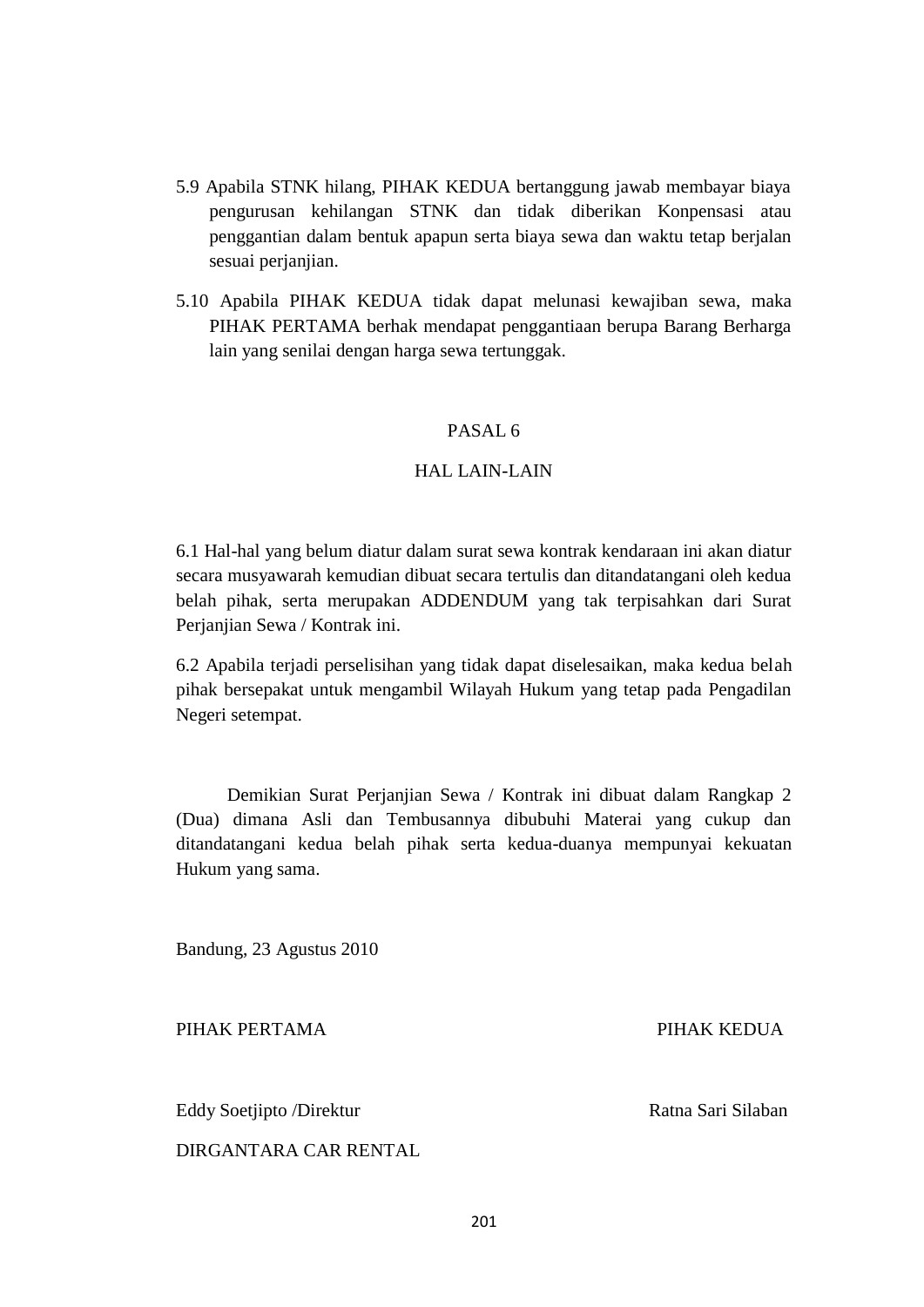- 5.9 Apabila STNK hilang, PIHAK KEDUA bertanggung jawab membayar biaya pengurusan kehilangan STNK dan tidak diberikan Konpensasi atau penggantian dalam bentuk apapun serta biaya sewa dan waktu tetap berjalan sesuai perjanjian.
- 5.10 Apabila PIHAK KEDUA tidak dapat melunasi kewajiban sewa, maka PIHAK PERTAMA berhak mendapat penggantiaan berupa Barang Berharga lain yang senilai dengan harga sewa tertunggak.

# PASAL 6

# HAL LAIN-LAIN

6.1 Hal-hal yang belum diatur dalam surat sewa kontrak kendaraan ini akan diatur secara musyawarah kemudian dibuat secara tertulis dan ditandatangani oleh kedua belah pihak, serta merupakan ADDENDUM yang tak terpisahkan dari Surat Perjanjian Sewa / Kontrak ini.

6.2 Apabila terjadi perselisihan yang tidak dapat diselesaikan, maka kedua belah pihak bersepakat untuk mengambil Wilayah Hukum yang tetap pada Pengadilan Negeri setempat.

 Demikian Surat Perjanjian Sewa / Kontrak ini dibuat dalam Rangkap 2 (Dua) dimana Asli dan Tembusannya dibubuhi Materai yang cukup dan ditandatangani kedua belah pihak serta kedua-duanya mempunyai kekuatan Hukum yang sama.

Bandung, 23 Agustus 2010

PIHAK PERTAMA PIHAK KEDUA

Eddy Soetjipto /Direktur Ratna Sari Silaban

DIRGANTARA CAR RENTAL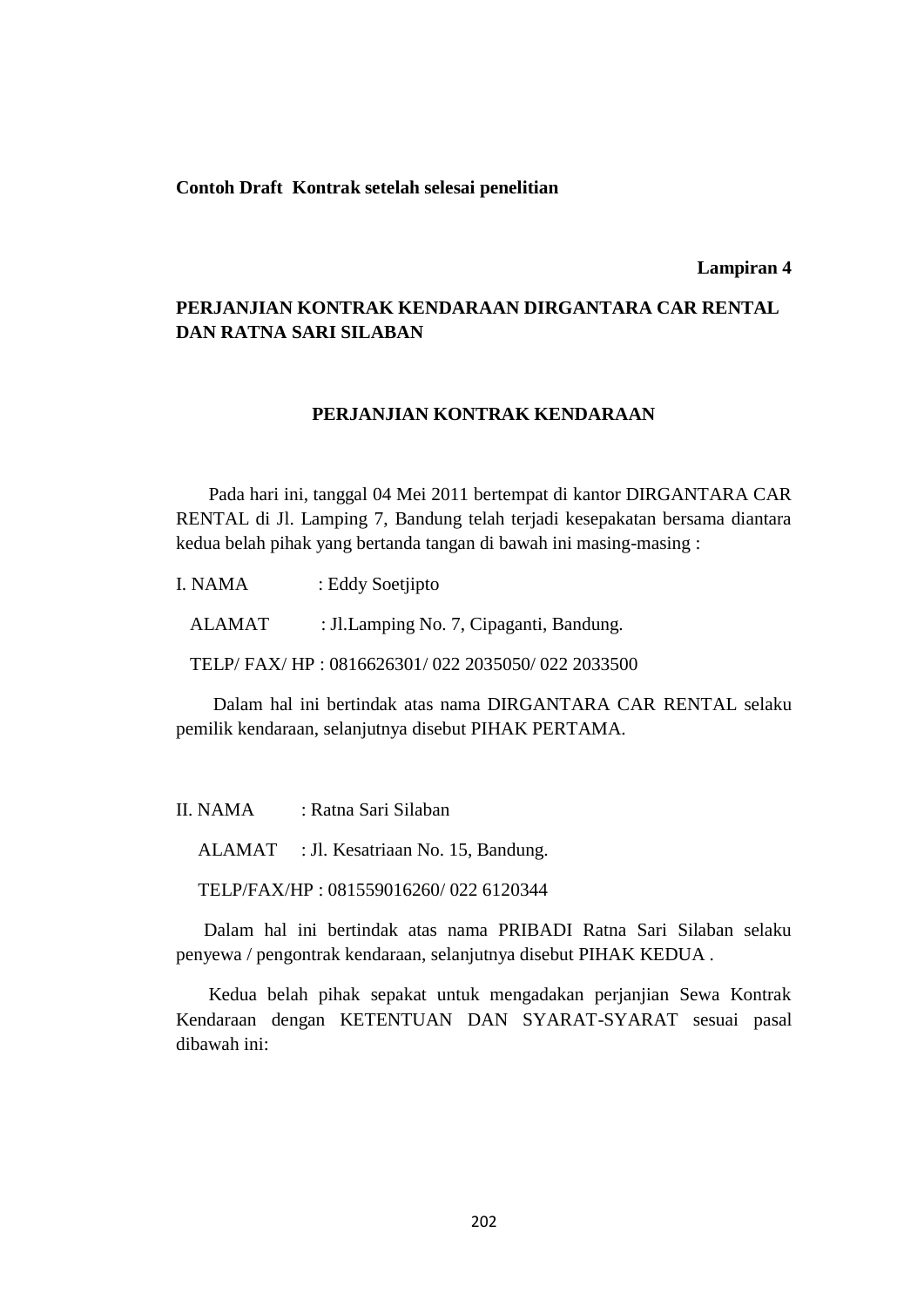#### **Contoh Draft Kontrak setelah selesai penelitian**

#### **Lampiran 4**

# **PERJANJIAN KONTRAK KENDARAAN DIRGANTARA CAR RENTAL DAN RATNA SARI SILABAN**

#### **PERJANJIAN KONTRAK KENDARAAN**

 Pada hari ini, tanggal 04 Mei 2011 bertempat di kantor DIRGANTARA CAR RENTAL di Jl. Lamping 7, Bandung telah terjadi kesepakatan bersama diantara kedua belah pihak yang bertanda tangan di bawah ini masing-masing :

| I. NAMA | : Eddy Soetjipto                                |
|---------|-------------------------------------------------|
| ALAMAT. | : Jl. Lamping No. 7, Cipaganti, Bandung.        |
|         | TELP/FAX/HP: 0816626301/022 2035050/022 2033500 |

 Dalam hal ini bertindak atas nama DIRGANTARA CAR RENTAL selaku pemilik kendaraan, selanjutnya disebut PIHAK PERTAMA.

II. NAMA : Ratna Sari Silaban

ALAMAT : Jl. Kesatriaan No. 15, Bandung.

TELP/FAX/HP : 081559016260/ 022 6120344

 Dalam hal ini bertindak atas nama PRIBADI Ratna Sari Silaban selaku penyewa / pengontrak kendaraan, selanjutnya disebut PIHAK KEDUA .

 Kedua belah pihak sepakat untuk mengadakan perjanjian Sewa Kontrak Kendaraan dengan KETENTUAN DAN SYARAT-SYARAT sesuai pasal dibawah ini: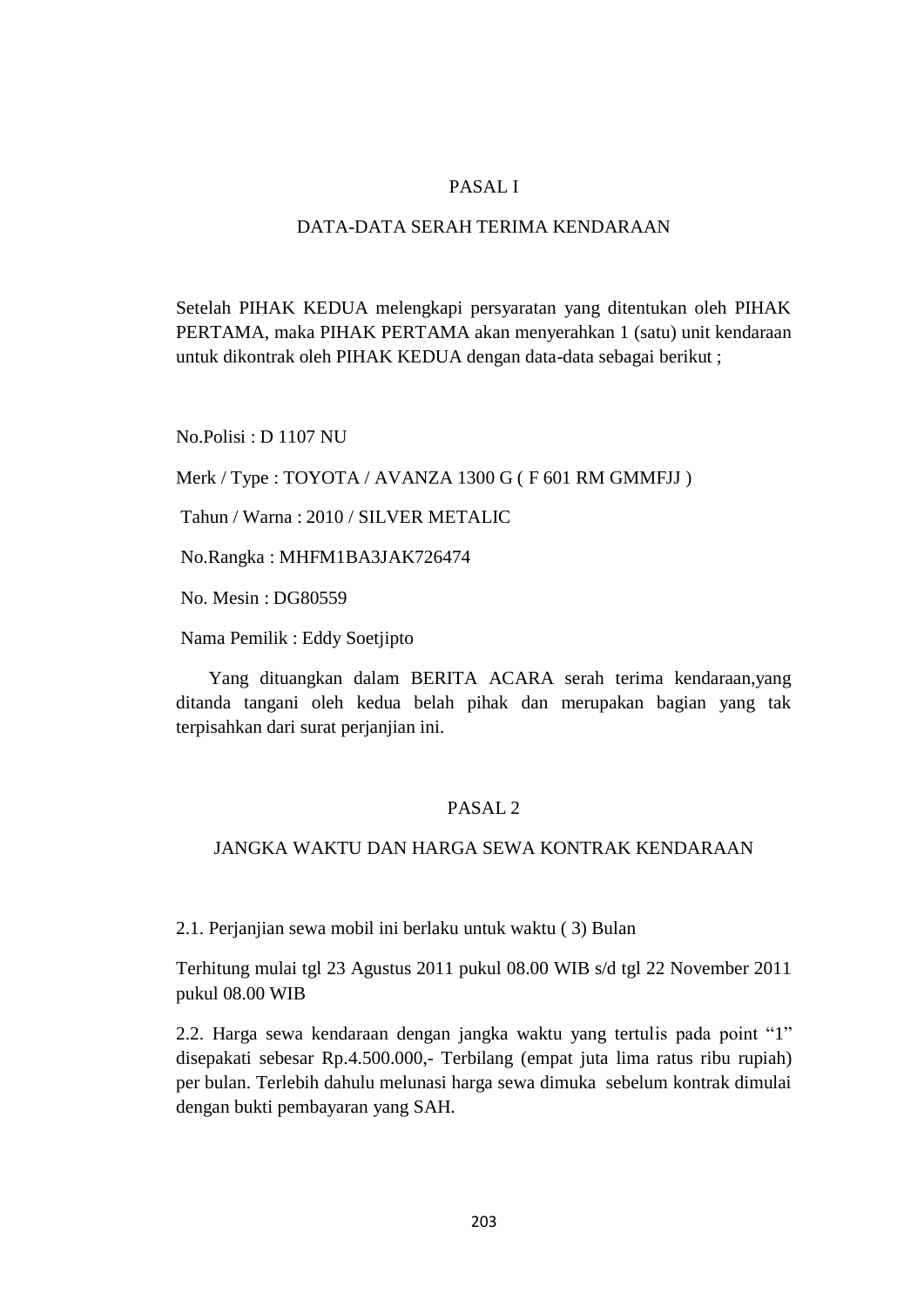# PASAL I

## DATA-DATA SERAH TERIMA KENDARAAN

Setelah PIHAK KEDUA melengkapi persyaratan yang ditentukan oleh PIHAK PERTAMA, maka PIHAK PERTAMA akan menyerahkan 1 (satu) unit kendaraan untuk dikontrak oleh PIHAK KEDUA dengan data-data sebagai berikut ;

No.Polisi : D 1107 NU

Merk / Type : TOYOTA / AVANZA 1300 G ( F 601 RM GMMFJJ )

Tahun / Warna : 2010 / SILVER METALIC

No.Rangka : MHFM1BA3JAK726474

No. Mesin : DG80559

Nama Pemilik : Eddy Soetjipto

 Yang dituangkan dalam BERITA ACARA serah terima kendaraan,yang ditanda tangani oleh kedua belah pihak dan merupakan bagian yang tak terpisahkan dari surat perjanjian ini.

# PASAL 2

# JANGKA WAKTU DAN HARGA SEWA KONTRAK KENDARAAN

2.1. Perjanjian sewa mobil ini berlaku untuk waktu ( 3) Bulan

Terhitung mulai tgl 23 Agustus 2011 pukul 08.00 WIB s/d tgl 22 November 2011 pukul 08.00 WIB

2.2. Harga sewa kendaraan dengan jangka waktu yang tertulis pada point "1" disepakati sebesar Rp.4.500.000,- Terbilang (empat juta lima ratus ribu rupiah) per bulan. Terlebih dahulu melunasi harga sewa dimuka sebelum kontrak dimulai dengan bukti pembayaran yang SAH.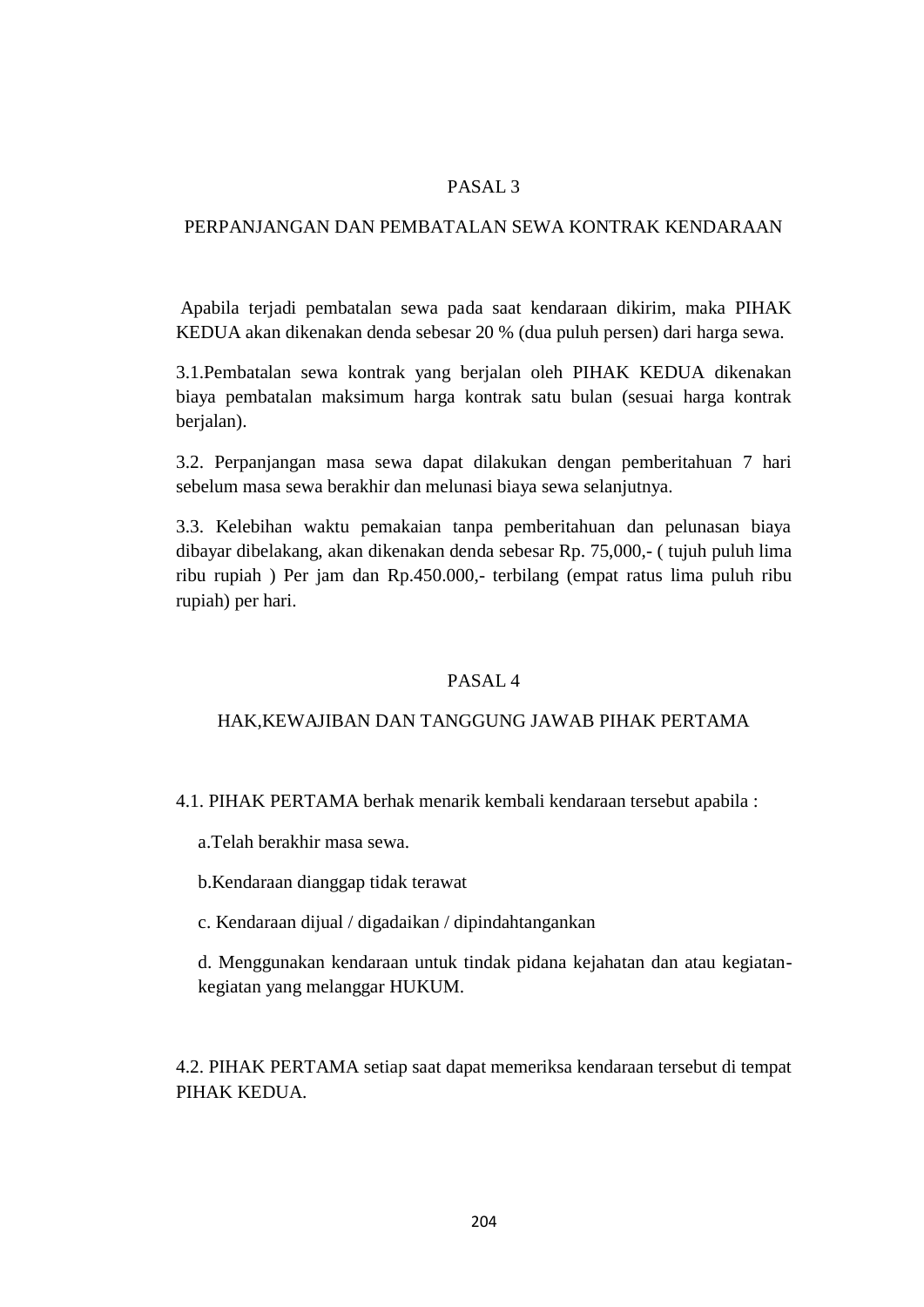# PASAL 3

## PERPANJANGAN DAN PEMBATALAN SEWA KONTRAK KENDARAAN

Apabila terjadi pembatalan sewa pada saat kendaraan dikirim, maka PIHAK KEDUA akan dikenakan denda sebesar 20 % (dua puluh persen) dari harga sewa.

3.1.Pembatalan sewa kontrak yang berjalan oleh PIHAK KEDUA dikenakan biaya pembatalan maksimum harga kontrak satu bulan (sesuai harga kontrak berialan).

3.2. Perpanjangan masa sewa dapat dilakukan dengan pemberitahuan 7 hari sebelum masa sewa berakhir dan melunasi biaya sewa selanjutnya.

3.3. Kelebihan waktu pemakaian tanpa pemberitahuan dan pelunasan biaya dibayar dibelakang, akan dikenakan denda sebesar Rp. 75,000,- ( tujuh puluh lima ribu rupiah ) Per jam dan Rp.450.000,- terbilang (empat ratus lima puluh ribu rupiah) per hari.

#### PASAL 4

#### HAK,KEWAJIBAN DAN TANGGUNG JAWAB PIHAK PERTAMA

4.1. PIHAK PERTAMA berhak menarik kembali kendaraan tersebut apabila :

a.Telah berakhir masa sewa.

b.Kendaraan dianggap tidak terawat

c. Kendaraan dijual / digadaikan / dipindahtangankan

d. Menggunakan kendaraan untuk tindak pidana kejahatan dan atau kegiatankegiatan yang melanggar HUKUM.

4.2. PIHAK PERTAMA setiap saat dapat memeriksa kendaraan tersebut di tempat PIHAK KEDUA.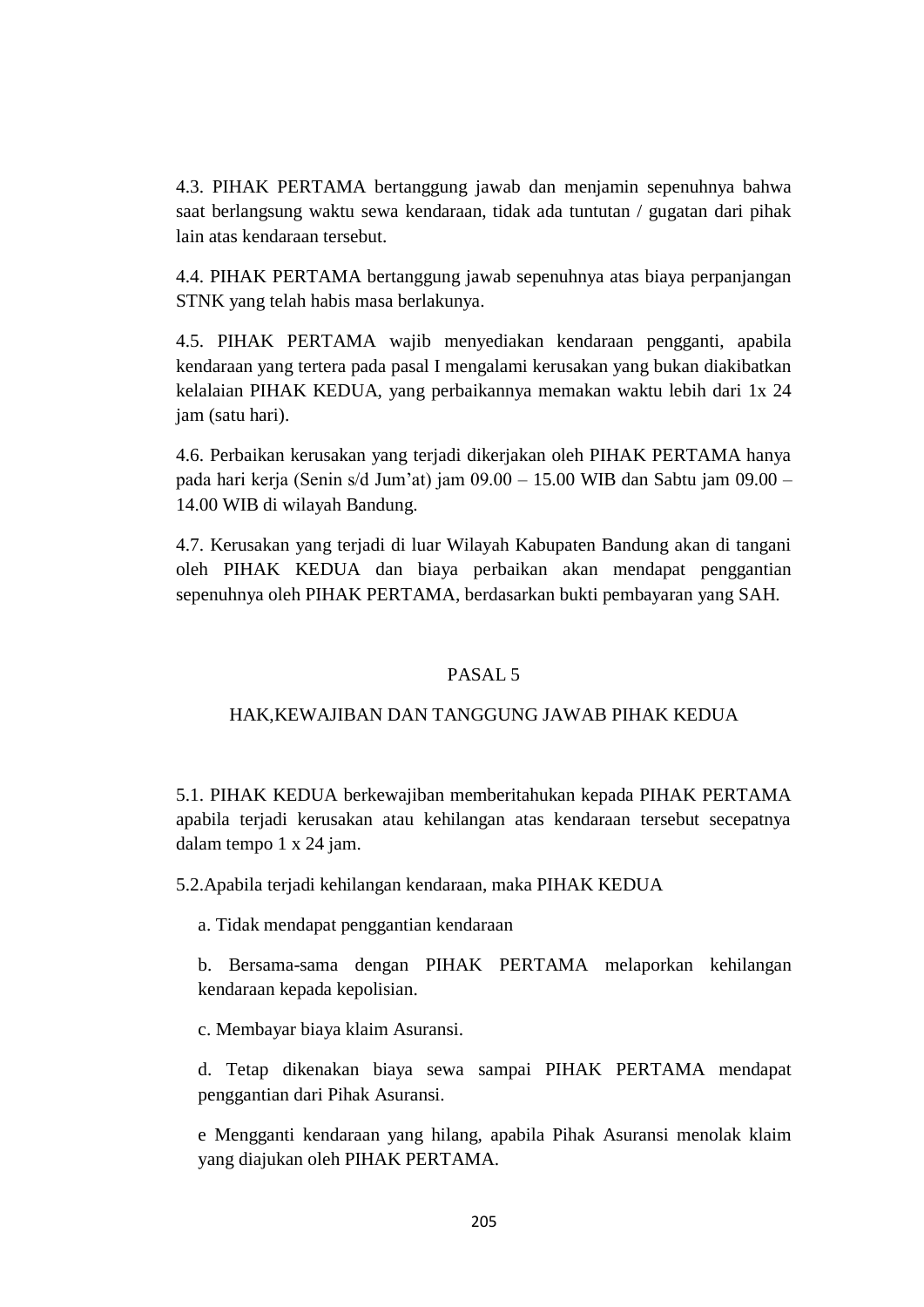4.3. PIHAK PERTAMA bertanggung jawab dan menjamin sepenuhnya bahwa saat berlangsung waktu sewa kendaraan, tidak ada tuntutan / gugatan dari pihak lain atas kendaraan tersebut.

4.4. PIHAK PERTAMA bertanggung jawab sepenuhnya atas biaya perpanjangan STNK yang telah habis masa berlakunya.

4.5. PIHAK PERTAMA wajib menyediakan kendaraan pengganti, apabila kendaraan yang tertera pada pasal I mengalami kerusakan yang bukan diakibatkan kelalaian PIHAK KEDUA, yang perbaikannya memakan waktu lebih dari 1x 24 jam (satu hari).

4.6. Perbaikan kerusakan yang terjadi dikerjakan oleh PIHAK PERTAMA hanya pada hari kerja (Senin s/d Jum'at) jam 09.00 – 15.00 WIB dan Sabtu jam 09.00 – 14.00 WIB di wilayah Bandung.

4.7. Kerusakan yang terjadi di luar Wilayah Kabupaten Bandung akan di tangani oleh PIHAK KEDUA dan biaya perbaikan akan mendapat penggantian sepenuhnya oleh PIHAK PERTAMA, berdasarkan bukti pembayaran yang SAH.

# PASAL 5

#### HAK,KEWAJIBAN DAN TANGGUNG JAWAB PIHAK KEDUA

5.1. PIHAK KEDUA berkewajiban memberitahukan kepada PIHAK PERTAMA apabila terjadi kerusakan atau kehilangan atas kendaraan tersebut secepatnya dalam tempo 1 x 24 jam.

5.2.Apabila terjadi kehilangan kendaraan, maka PIHAK KEDUA

a. Tidak mendapat penggantian kendaraan

b. Bersama-sama dengan PIHAK PERTAMA melaporkan kehilangan kendaraan kepada kepolisian.

c. Membayar biaya klaim Asuransi.

d. Tetap dikenakan biaya sewa sampai PIHAK PERTAMA mendapat penggantian dari Pihak Asuransi.

e Mengganti kendaraan yang hilang, apabila Pihak Asuransi menolak klaim yang diajukan oleh PIHAK PERTAMA.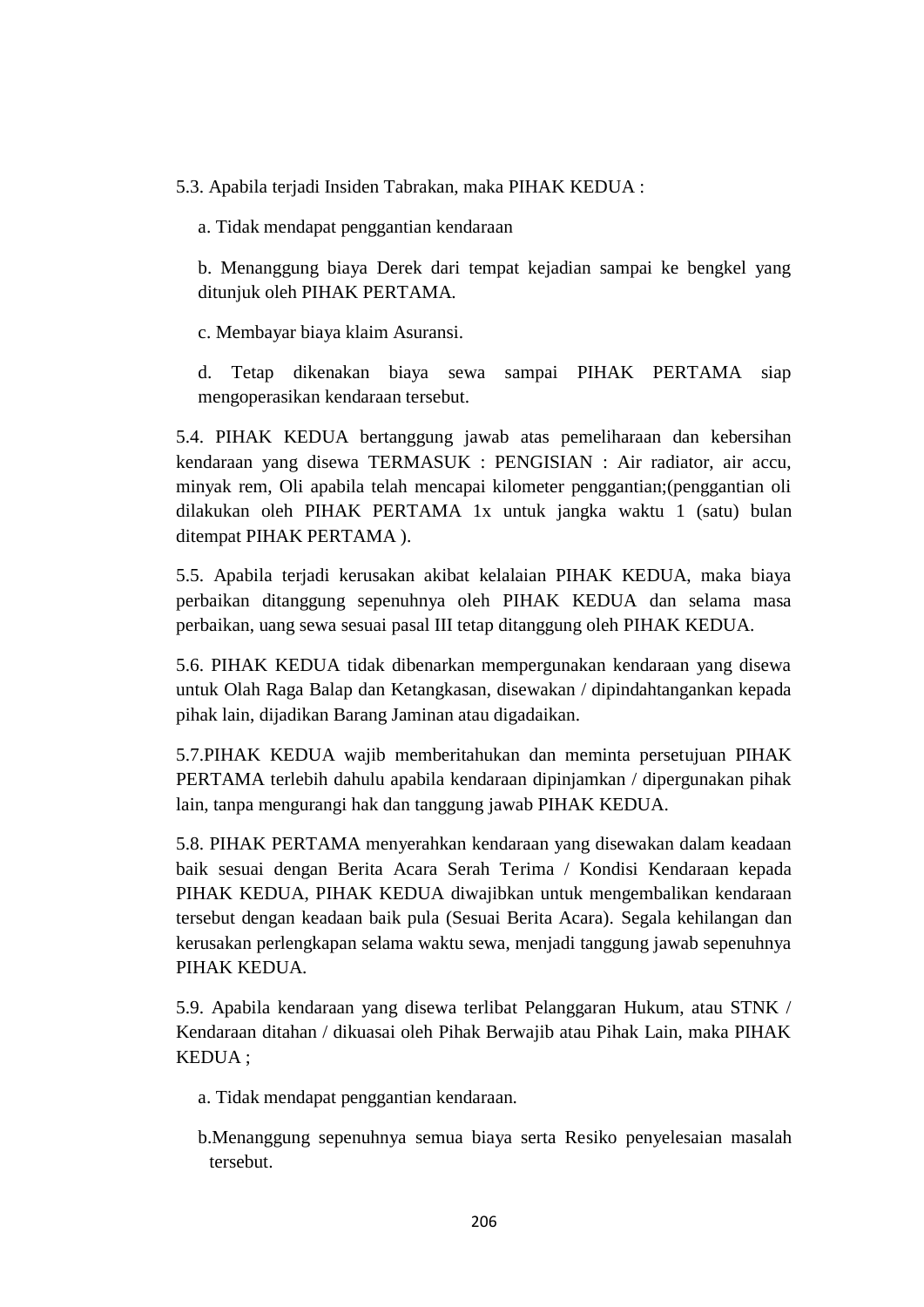5.3. Apabila terjadi Insiden Tabrakan, maka PIHAK KEDUA :

a. Tidak mendapat penggantian kendaraan

b. Menanggung biaya Derek dari tempat kejadian sampai ke bengkel yang ditunjuk oleh PIHAK PERTAMA.

c. Membayar biaya klaim Asuransi.

d. Tetap dikenakan biaya sewa sampai PIHAK PERTAMA siap mengoperasikan kendaraan tersebut.

5.4. PIHAK KEDUA bertanggung jawab atas pemeliharaan dan kebersihan kendaraan yang disewa TERMASUK : PENGISIAN : Air radiator, air accu, minyak rem, Oli apabila telah mencapai kilometer penggantian;(penggantian oli dilakukan oleh PIHAK PERTAMA 1x untuk jangka waktu 1 (satu) bulan ditempat PIHAK PERTAMA ).

5.5. Apabila terjadi kerusakan akibat kelalaian PIHAK KEDUA, maka biaya perbaikan ditanggung sepenuhnya oleh PIHAK KEDUA dan selama masa perbaikan, uang sewa sesuai pasal III tetap ditanggung oleh PIHAK KEDUA.

5.6. PIHAK KEDUA tidak dibenarkan mempergunakan kendaraan yang disewa untuk Olah Raga Balap dan Ketangkasan, disewakan / dipindahtangankan kepada pihak lain, dijadikan Barang Jaminan atau digadaikan.

5.7.PIHAK KEDUA wajib memberitahukan dan meminta persetujuan PIHAK PERTAMA terlebih dahulu apabila kendaraan dipinjamkan / dipergunakan pihak lain, tanpa mengurangi hak dan tanggung jawab PIHAK KEDUA.

5.8. PIHAK PERTAMA menyerahkan kendaraan yang disewakan dalam keadaan baik sesuai dengan Berita Acara Serah Terima / Kondisi Kendaraan kepada PIHAK KEDUA, PIHAK KEDUA diwajibkan untuk mengembalikan kendaraan tersebut dengan keadaan baik pula (Sesuai Berita Acara). Segala kehilangan dan kerusakan perlengkapan selama waktu sewa, menjadi tanggung jawab sepenuhnya PIHAK KEDUA.

5.9. Apabila kendaraan yang disewa terlibat Pelanggaran Hukum, atau STNK / Kendaraan ditahan / dikuasai oleh Pihak Berwajib atau Pihak Lain, maka PIHAK KEDUA ;

a. Tidak mendapat penggantian kendaraan.

b.Menanggung sepenuhnya semua biaya serta Resiko penyelesaian masalah tersebut.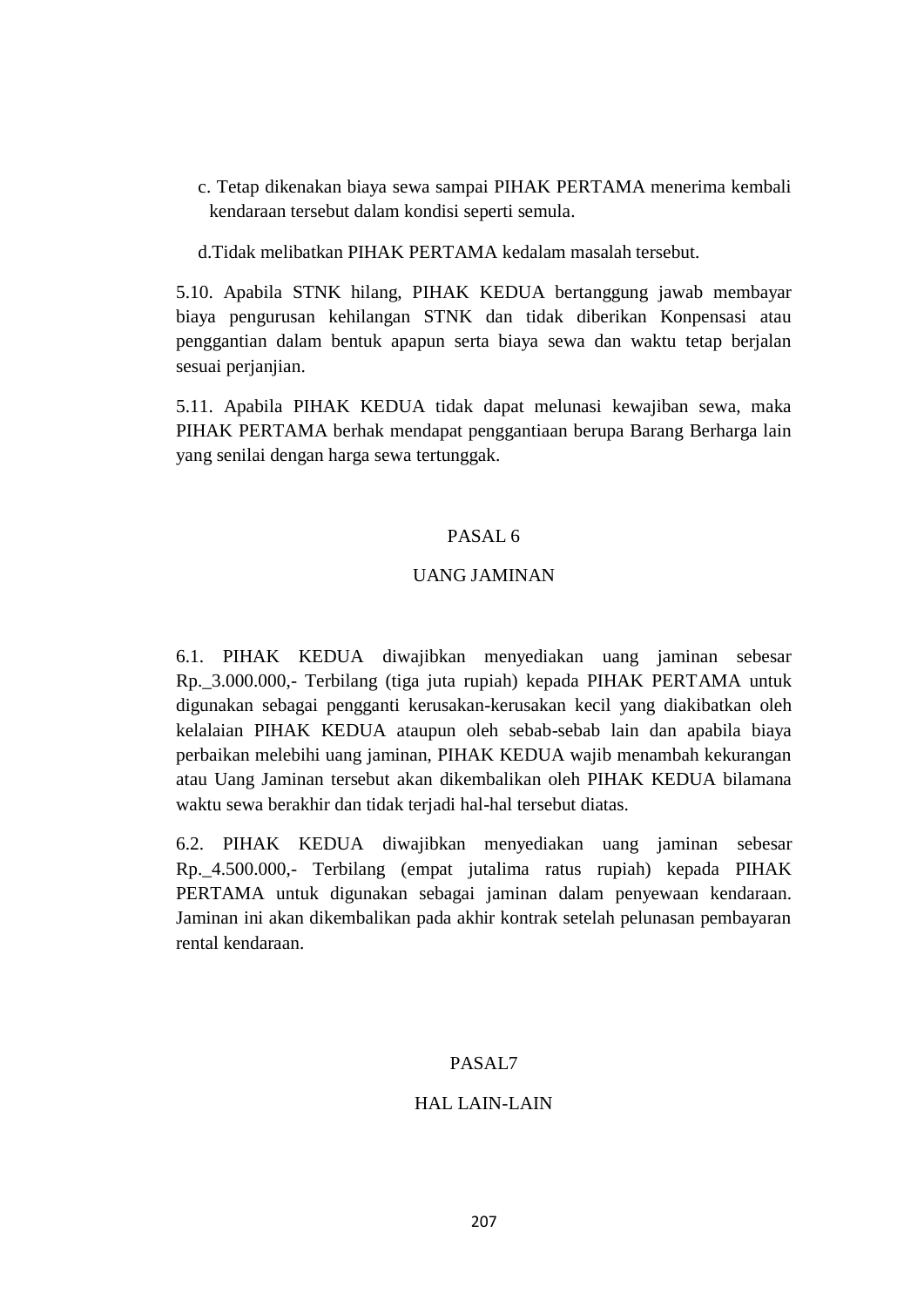c. Tetap dikenakan biaya sewa sampai PIHAK PERTAMA menerima kembali kendaraan tersebut dalam kondisi seperti semula.

d.Tidak melibatkan PIHAK PERTAMA kedalam masalah tersebut.

5.10. Apabila STNK hilang, PIHAK KEDUA bertanggung jawab membayar biaya pengurusan kehilangan STNK dan tidak diberikan Konpensasi atau penggantian dalam bentuk apapun serta biaya sewa dan waktu tetap berjalan sesuai perjanjian.

5.11. Apabila PIHAK KEDUA tidak dapat melunasi kewajiban sewa, maka PIHAK PERTAMA berhak mendapat penggantiaan berupa Barang Berharga lain yang senilai dengan harga sewa tertunggak.

# PASAL 6

# UANG JAMINAN

6.1. PIHAK KEDUA diwajibkan menyediakan uang jaminan sebesar Rp.\_3.000.000,- Terbilang (tiga juta rupiah) kepada PIHAK PERTAMA untuk digunakan sebagai pengganti kerusakan-kerusakan kecil yang diakibatkan oleh kelalaian PIHAK KEDUA ataupun oleh sebab-sebab lain dan apabila biaya perbaikan melebihi uang jaminan, PIHAK KEDUA wajib menambah kekurangan atau Uang Jaminan tersebut akan dikembalikan oleh PIHAK KEDUA bilamana waktu sewa berakhir dan tidak terjadi hal-hal tersebut diatas.

6.2. PIHAK KEDUA diwajibkan menyediakan uang jaminan sebesar Rp.\_4.500.000,- Terbilang (empat jutalima ratus rupiah) kepada PIHAK PERTAMA untuk digunakan sebagai jaminan dalam penyewaan kendaraan. Jaminan ini akan dikembalikan pada akhir kontrak setelah pelunasan pembayaran rental kendaraan.

#### PASAL7

#### HAL LAIN-LAIN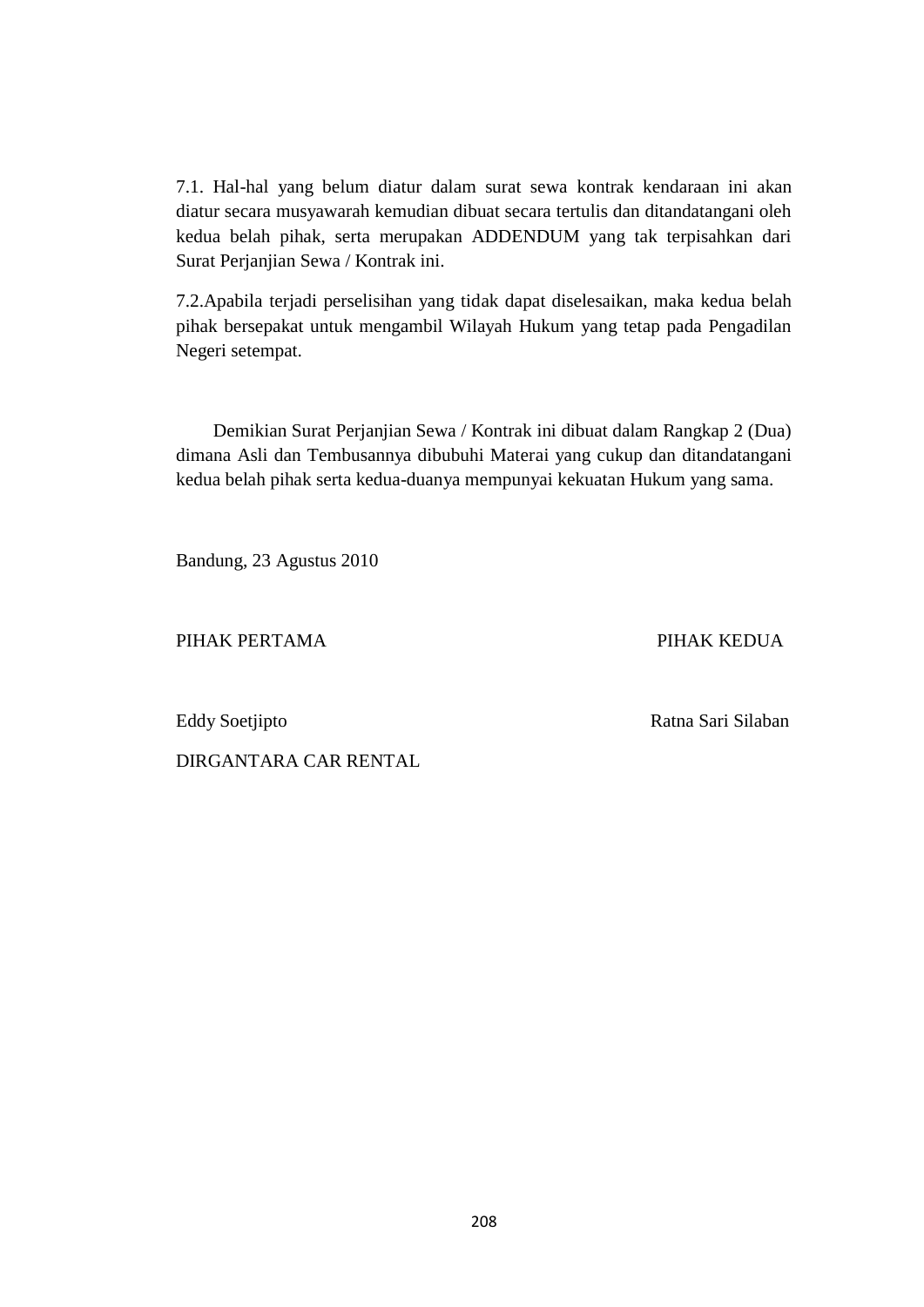7.1. Hal-hal yang belum diatur dalam surat sewa kontrak kendaraan ini akan diatur secara musyawarah kemudian dibuat secara tertulis dan ditandatangani oleh kedua belah pihak, serta merupakan ADDENDUM yang tak terpisahkan dari Surat Perjanjian Sewa / Kontrak ini.

7.2.Apabila terjadi perselisihan yang tidak dapat diselesaikan, maka kedua belah pihak bersepakat untuk mengambil Wilayah Hukum yang tetap pada Pengadilan Negeri setempat.

 Demikian Surat Perjanjian Sewa / Kontrak ini dibuat dalam Rangkap 2 (Dua) dimana Asli dan Tembusannya dibubuhi Materai yang cukup dan ditandatangani kedua belah pihak serta kedua-duanya mempunyai kekuatan Hukum yang sama.

Bandung, 23 Agustus 2010

PIHAK PERTAMA PIHAK KEDUA

Eddy Soetjipto **Ratna Sari Silaban** 

DIRGANTARA CAR RENTAL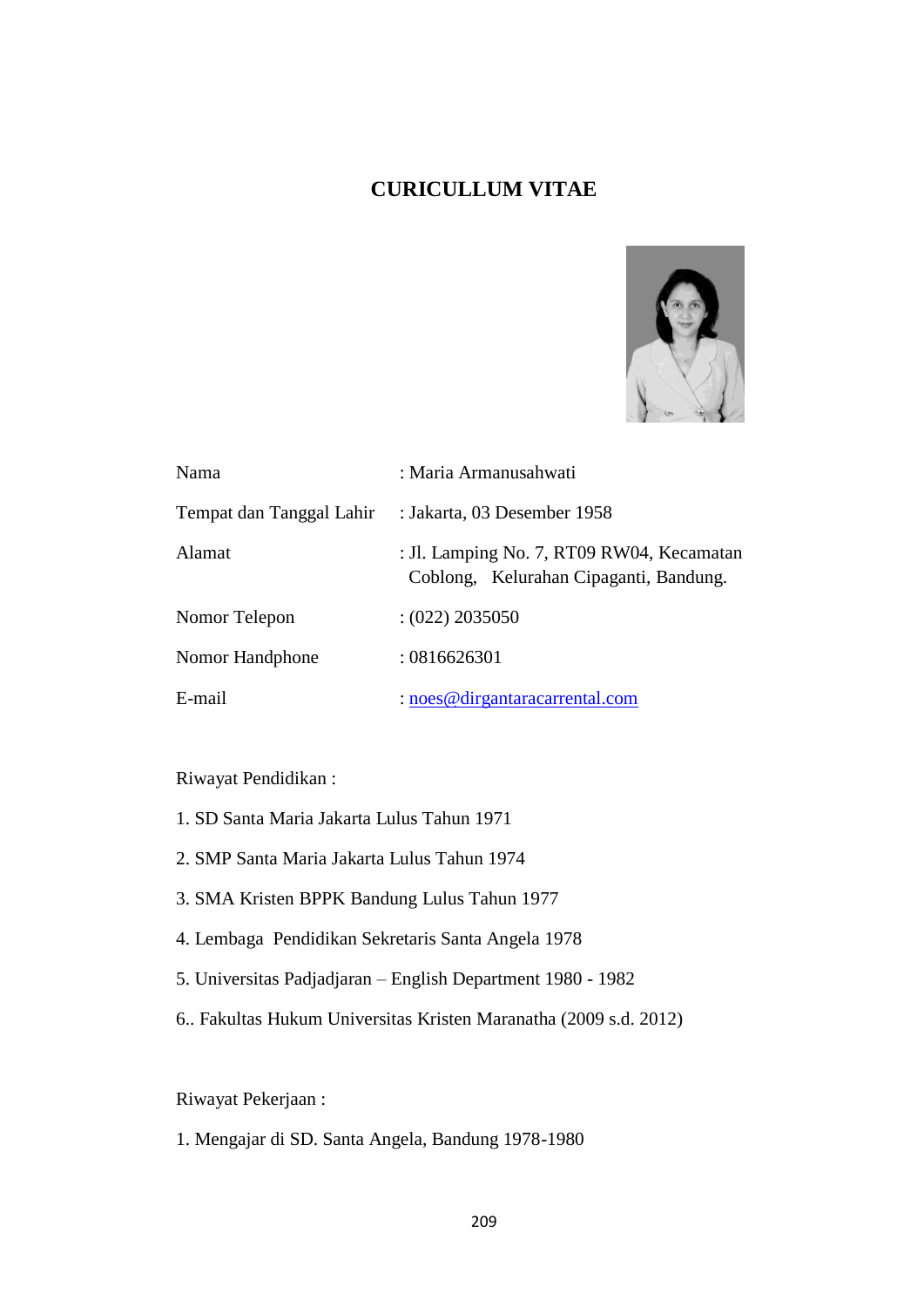# **CURICULLUM VITAE**



| Nama                     | : Maria Armanusahwati                                                               |
|--------------------------|-------------------------------------------------------------------------------------|
| Tempat dan Tanggal Lahir | : Jakarta, 03 Desember 1958                                                         |
| Alamat                   | : Jl. Lamping No. 7, RT09 RW04, Kecamatan<br>Coblong, Kelurahan Cipaganti, Bandung. |
| Nomor Telepon            | $(022)$ 2035050                                                                     |
| Nomor Handphone          | :0816626301                                                                         |
| E-mail                   | $:$ noes @ dirgantaracarrental.com                                                  |

Riwayat Pendidikan :

- 1. SD Santa Maria Jakarta Lulus Tahun 1971
- 2. SMP Santa Maria Jakarta Lulus Tahun 1974
- 3. SMA Kristen BPPK Bandung Lulus Tahun 1977
- 4. Lembaga Pendidikan Sekretaris Santa Angela 1978
- 5. Universitas Padjadjaran English Department 1980 1982
- 6.. Fakultas Hukum Universitas Kristen Maranatha (2009 s.d. 2012)

Riwayat Pekerjaan :

1. Mengajar di SD. Santa Angela, Bandung 1978-1980